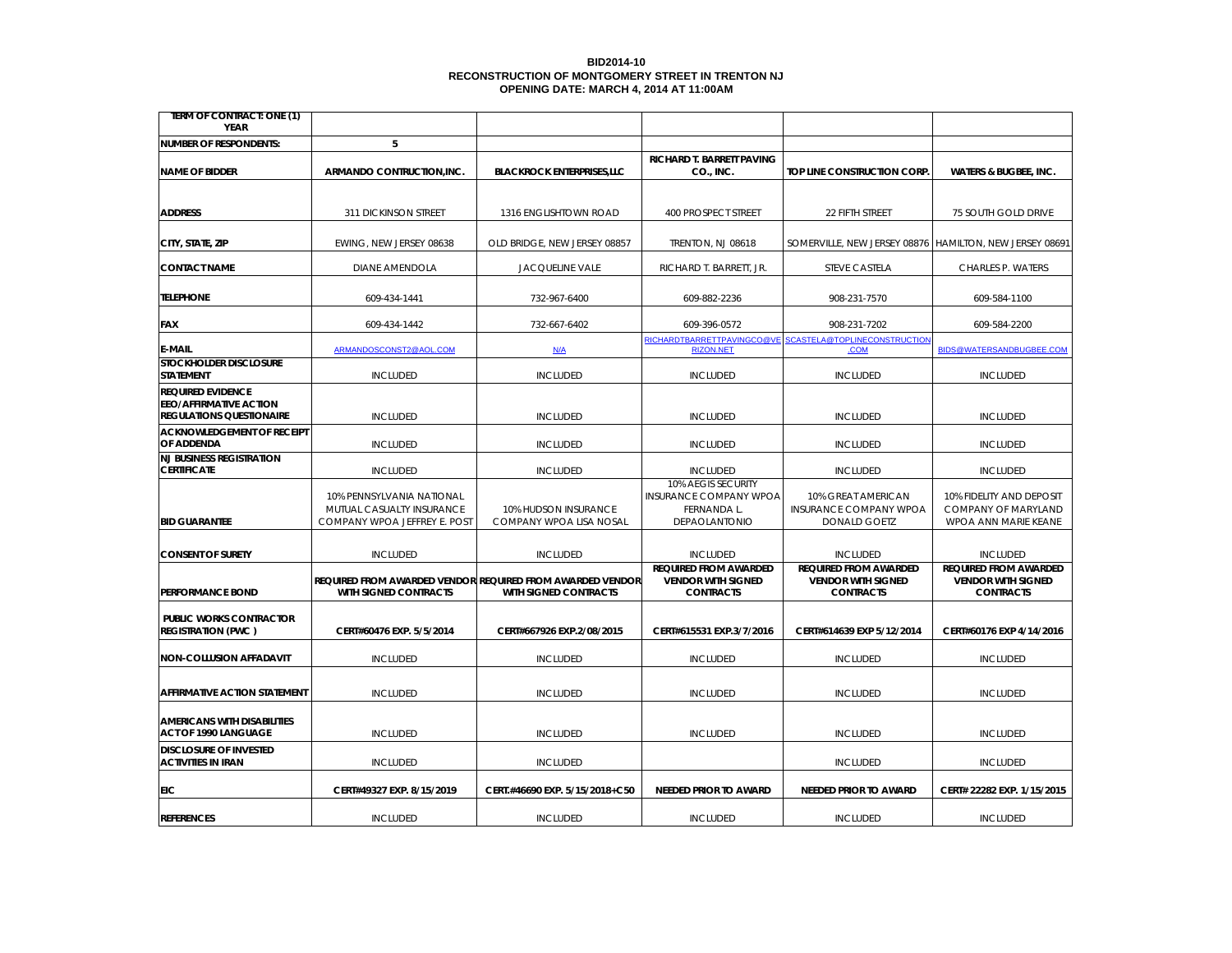### **BID2014-10 RECONSTRUCTION OF MONTGOMERY STREET IN TRENTON NJ OPENING DATE: MARCH 4, 2014 AT 11:00AM**

| <b>IERM OF CONIRACI: ONE (1)</b><br>YEAR                                                     |                                                                                        |                                                                                           |                                                                                     |                                                                               |                                                                                |
|----------------------------------------------------------------------------------------------|----------------------------------------------------------------------------------------|-------------------------------------------------------------------------------------------|-------------------------------------------------------------------------------------|-------------------------------------------------------------------------------|--------------------------------------------------------------------------------|
| NUMBER OF RESPONDENTS:                                                                       | 5                                                                                      |                                                                                           |                                                                                     |                                                                               |                                                                                |
| <b>NAME OF BIDDER</b>                                                                        | ARMANDO CONTRUCTION, INC.                                                              | <b>BLACKROCK ENTERPRISES, LLC</b>                                                         | RICHARD T. BARRETT PAVING<br>CO., INC.                                              | TOP LINE CONSTRUCTION CORP                                                    | <b>WATERS &amp; BUGBEE, INC.</b>                                               |
| <b>ADDRESS</b>                                                                               | 311 DICKINSON STREET                                                                   | 1316 ENGLISHTOWN ROAD                                                                     | 400 PROSPECT STREET                                                                 | 22 FIFTH STREET                                                               | 75 SOUTH GOLD DRIVE                                                            |
| CITY, STATE, ZIP                                                                             | EWING, NEW JERSEY 08638                                                                | OLD BRIDGE, NEW JERSEY 08857                                                              | TRENTON, NJ 08618                                                                   | SOMERVILLE, NEW JERSEY 08876   HAMILTON, NEW JERSEY 08691                     |                                                                                |
| <b>CONTACT NAME</b>                                                                          | DIANE AMENDOLA                                                                         | <b>JACQUELINE VALE</b>                                                                    | RICHARD T. BARRETT, JR.                                                             | <b>STEVE CASTELA</b>                                                          | CHARLES P. WATERS                                                              |
| <b>TELEPHONE</b>                                                                             | 609-434-1441                                                                           | 732-967-6400                                                                              | 609-882-2236                                                                        | 908-231-7570                                                                  | 609-584-1100                                                                   |
| FAX                                                                                          | 609-434-1442                                                                           | 732-667-6402                                                                              | 609-396-0572                                                                        | 908-231-7202                                                                  | 609-584-2200                                                                   |
| E-MAIL                                                                                       | ARMANDOSCONST2@AOL.COM                                                                 | N/A                                                                                       | RICHARDTBARRETTPAVINGCO@VE<br><b>RIZON.NET</b>                                      | SCASTELA@TOPLINECONSTRUCTION<br>.COM                                          | BIDS@WATERSANDBUGBEE.COM                                                       |
| <b>STOCKHOLDER DISCLOSURE</b><br><b>STATEMENT</b>                                            | <b>INCLUDED</b>                                                                        | <b>INCLUDED</b>                                                                           | <b>INCLUDED</b>                                                                     | <b>INCLUDED</b>                                                               | <b>INCLUDED</b>                                                                |
| <b>REQUIRED EVIDENCE</b><br><b>EEO/AFFIRMATIVE ACTION</b><br><b>REGULATIONS QUESTIONAIRE</b> | <b>INCLUDED</b>                                                                        | <b>INCLUDED</b>                                                                           | <b>INCLUDED</b>                                                                     | <b>INCLUDED</b>                                                               | <b>INCLUDED</b>                                                                |
| <b>ACKNOWLEDGEMENT OF RECEIPT</b><br>OF ADDENDA                                              | <b>INCLUDED</b>                                                                        | <b>INCLUDED</b>                                                                           | <b>INCLUDED</b>                                                                     | <b>INCLUDED</b>                                                               | <b>INCLUDED</b>                                                                |
| <b>NJ BUSINESS REGISTRATION</b><br><b>CERTIFICATE</b>                                        | <b>INCLUDED</b>                                                                        | <b>INCLUDED</b>                                                                           | <b>INCLUDED</b>                                                                     | <b>INCLUDED</b>                                                               | <b>INCLUDED</b>                                                                |
| <b>BID GUARANTEE</b>                                                                         | 10% PENNSYLVANIA NATIONAL<br>MUTUAL CASUALTY INSURANCE<br>COMPANY WPOA JEFFREY E. POST | 10% HUDSON INSURANCE<br>COMPANY WPOA LISA NOSAL                                           | 10% AEGIS SECURITY<br><b>INSURANCE COMPANY WPOA</b><br>FERNANDA L.<br>DEPAOLANTONIO | 10% GREAT AMERICAN<br><b>INSURANCE COMPANY WPOA</b><br><b>DONALD GOETZ</b>    | 10% FIDELITY AND DEPOSIT<br><b>COMPANY OF MARYLAND</b><br>WPOA ANN MARIE KEANE |
| <b>CONSENT OF SURETY</b>                                                                     | <b>INCLUDED</b>                                                                        | <b>INCLUDED</b>                                                                           | <b>INCLUDED</b>                                                                     | <b>INCLUDED</b>                                                               | <b>INCLUDED</b>                                                                |
| PERFORMANCE BOND                                                                             | <b>WITH SIGNED CONTRACTS</b>                                                           | <b>REQUIRED FROM AWARDED VENDOR REQUIRED FROM AWARDED VENDOR</b><br>WITH SIGNED CONTRACTS | <b>REQUIRED FROM AWARDED</b><br><b>VENDOR WITH SIGNED</b><br><b>CONTRACTS</b>       | <b>REQUIRED FROM AWARDED</b><br><b>VENDOR WITH SIGNED</b><br><b>CONTRACTS</b> | <b>REQUIRED FROM AWARDED</b><br><b>VENDOR WITH SIGNED</b><br><b>CONTRACTS</b>  |
| PUBLIC WORKS CONTRACTOR<br><b>REGISTRATION (PWC )</b>                                        | CERT#60476 EXP. 5/5/2014                                                               | CERT#667926 EXP.2/08/2015                                                                 | CERT#615531 EXP.3/7/2016                                                            | CERT#614639 EXP 5/12/2014                                                     | CERT#60176 EXP 4/14/2016                                                       |
| NON-COLLUSION AFFADAVIT                                                                      | <b>INCLUDED</b>                                                                        | <b>INCLUDED</b>                                                                           | <b>INCLUDED</b>                                                                     | <b>INCLUDED</b>                                                               | <b>INCLUDED</b>                                                                |
| <b>AFFIRMATIVE ACTION STATEMENT</b>                                                          | <b>INCLUDED</b>                                                                        | <b>INCLUDED</b>                                                                           | <b>INCLUDED</b>                                                                     | <b>INCLUDED</b>                                                               | <b>INCLUDED</b>                                                                |
| <b>AMERICANS WITH DISABILITIES</b><br>ACT OF 1990 LANGUAGE                                   | <b>INCLUDED</b>                                                                        | <b>INCLUDED</b>                                                                           | <b>INCLUDED</b>                                                                     | <b>INCLUDED</b>                                                               | <b>INCLUDED</b>                                                                |
| <b>DISCLOSURE OF INVESTED</b><br><b>ACTIVITIES IN IRAN</b>                                   | <b>INCLUDED</b>                                                                        | <b>INCLUDED</b>                                                                           |                                                                                     | <b>INCLUDED</b>                                                               | <b>INCLUDED</b>                                                                |
| EIC                                                                                          | CERT#49327 EXP. 8/15/2019                                                              | CERT.#46690 EXP. 5/15/2018+C50                                                            | NEEDED PRIOR TO AWARD                                                               | <b>NEEDED PRIOR TO AWARD</b>                                                  | CERT# 22282 EXP. 1/15/2015                                                     |
| <b>REFERENCES</b>                                                                            | <b>INCLUDED</b>                                                                        | <b>INCLUDED</b>                                                                           | <b>INCLUDED</b>                                                                     | <b>INCLUDED</b>                                                               | <b>INCLUDED</b>                                                                |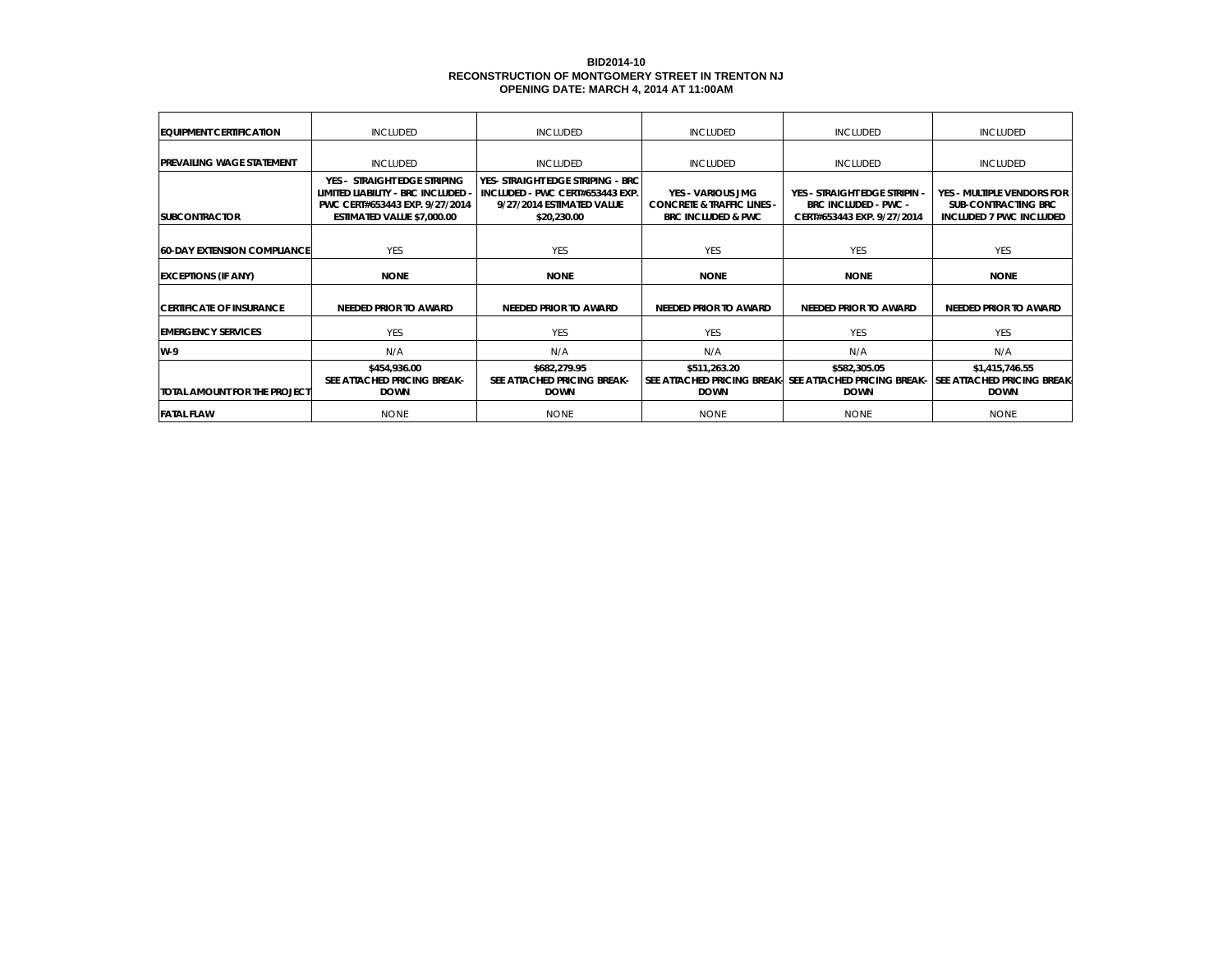### **BID2014-10 RECONSTRUCTION OF MONTGOMERY STREET IN TRENTON NJ OPENING DATE: MARCH 4, 2014 AT 11:00AM**

| <b>EQUIPMENT CERTIFICATION</b>     | <b>INCLUDED</b>                                                                                                                    | <b>INCLUDED</b>                                                                                                  | <b>INCLUDED</b>                                                                             | <b>INCLUDED</b>                                                                            | <b>INCLUDED</b>                                                                            |
|------------------------------------|------------------------------------------------------------------------------------------------------------------------------------|------------------------------------------------------------------------------------------------------------------|---------------------------------------------------------------------------------------------|--------------------------------------------------------------------------------------------|--------------------------------------------------------------------------------------------|
| <b>PREVAILING WAGE STATEMENT</b>   | <b>INCLUDED</b>                                                                                                                    | <b>INCLUDED</b>                                                                                                  | <b>INCLUDED</b>                                                                             | <b>INCLUDED</b>                                                                            | <b>INCLUDED</b>                                                                            |
| <b>SUBCONTRACTOR</b>               | YES - STRAIGHT EDGE STRIPING<br>LIMITED LIABILITY - BRC INCLUDED -<br>PWC CERT#653443 EXP. 9/27/2014<br>ESTIMATED VALUE \$7,000.00 | YES- STRAIGHT EDGE STRIPING - BRC<br>INCLUDED - PWC CERT#653443 EXP.<br>9/27/2014 ESTIMATED VALUE<br>\$20,230.00 | YES - VARIOUS JMG<br><b>CONCRETE &amp; TRAFFIC LINES -</b><br><b>BRC INCLUDED &amp; PWC</b> | YES - STRAIGHT EDGE STRIPIN -<br><b>BRC INCLUDED - PWC -</b><br>CERT#653443 EXP. 9/27/2014 | YES - MULTIPLE VENDORS FOR<br><b>SUB-CONTRACTING BRC</b><br><b>INCLUDED 7 PWC INCLUDED</b> |
| <b>60-DAY EXTENSION COMPLIANCE</b> | <b>YES</b>                                                                                                                         | <b>YES</b>                                                                                                       | <b>YES</b>                                                                                  | <b>YES</b>                                                                                 | <b>YES</b>                                                                                 |
| <b>EXCEPTIONS (IF ANY)</b>         | <b>NONE</b>                                                                                                                        | <b>NONE</b>                                                                                                      | <b>NONE</b>                                                                                 | <b>NONE</b>                                                                                | <b>NONE</b>                                                                                |
| <b>ICERTIFICATE OF INSURANCE</b>   | NEEDED PRIOR TO AWARD                                                                                                              | <b>NEEDED PRIOR TO AWARD</b>                                                                                     | NEEDED PRIOR TO AWARD                                                                       | <b>NEEDED PRIOR TO AWARD</b>                                                               | <b>NEEDED PRIOR TO AWARD</b>                                                               |
| <b>EMERGENCY SERVICES</b>          | <b>YES</b>                                                                                                                         | <b>YES</b>                                                                                                       | <b>YES</b>                                                                                  | <b>YES</b>                                                                                 | <b>YES</b>                                                                                 |
| W-9                                | N/A                                                                                                                                | N/A                                                                                                              | N/A                                                                                         | N/A                                                                                        | N/A                                                                                        |
| TOTAL AMOUNT FOR THE PROJECT       | \$454,936.00<br>SEE ATTACHED PRICING BREAK-<br><b>DOWN</b>                                                                         | \$682,279.95<br>SEE ATTACHED PRICING BREAK-<br><b>DOWN</b>                                                       | \$511,263.20<br>SEE ATTACHED PRICING BREAK-<br><b>DOWN</b>                                  | \$582,305.05<br>SEE ATTACHED PRICING BREAK-<br><b>DOWN</b>                                 | \$1,415,746.55<br><b>ISEE ATTACHED PRICING BREAK-</b><br><b>DOWN</b>                       |
| <b>FATAL FLAW</b>                  | <b>NONE</b>                                                                                                                        | <b>NONE</b>                                                                                                      | <b>NONE</b>                                                                                 | <b>NONE</b>                                                                                | NONE                                                                                       |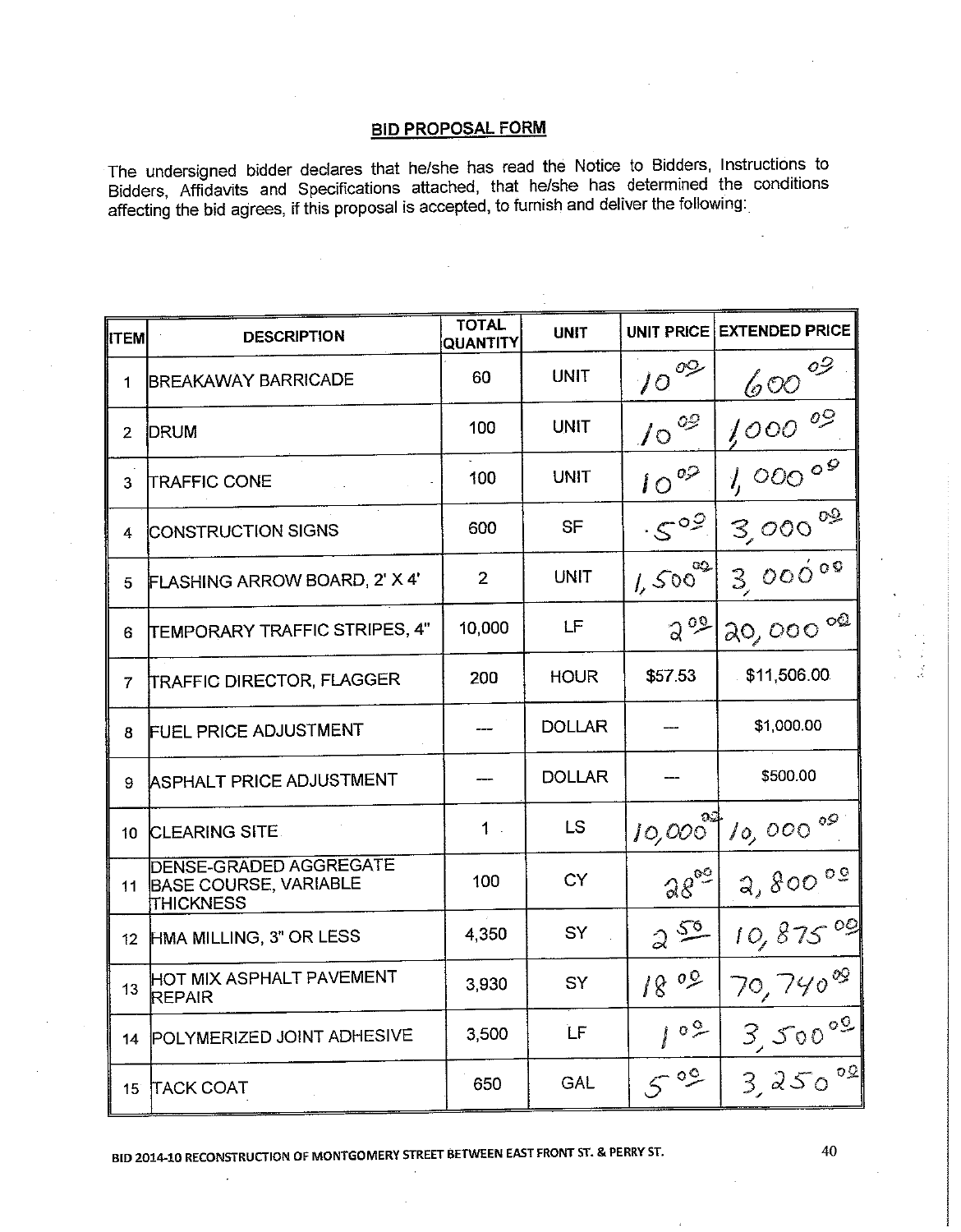The undersigned bidder declares that he/she has read the Notice to Bidders, Instructions to Bidders, Affidavits and Specifications attached, that he/she has determined the conditions affecting the bid agrees, if this proposal is accepted, to furnish and deliver the following:

| <b>ITEM</b>     | <b>DESCRIPTION</b>                                                                | TOTAL<br><b>QUANTITY</b> | <b>UNIT</b>   |                         | UNIT PRICE EXTENDED PRICE |
|-----------------|-----------------------------------------------------------------------------------|--------------------------|---------------|-------------------------|---------------------------|
| 1               | <b>BREAKAWAY BARRICADE</b>                                                        | 60                       | <b>UNIT</b>   | $10^{09}$               | $600^{o9}$                |
| $\overline{2}$  | <b>DRUM</b>                                                                       | 100                      | UNIT          | $10^{09}$               | $1,000$ 09                |
| 3               | <b>TRAFFIC CONE</b>                                                               | 100                      | UNIT          | $10^{02}$               | 1,00000                   |
| 4               | <b>CONSTRUCTION SIGNS</b>                                                         | 600                      | <b>SF</b>     | .502                    | $3,000$ <sup>02</sup>     |
| 5               | FLASHING ARROW BOARD, 2' X 4'                                                     | 2                        | UNIT          | $1,500^{92}$            | 3,00000                   |
| 6               | TEMPORARY TRAFFIC STRIPES, 4"                                                     | 10,000                   | LF            | 2°                      | 20,00000                  |
| 7               | <b>TRAFFIC DIRECTOR, FLAGGER</b>                                                  | 200                      | <b>HOUR</b>   | \$57.53                 | \$11,506.00               |
| 8               | <b>FUEL PRICE ADJUSTMENT</b>                                                      |                          | <b>DOLLAR</b> |                         | \$1,000.00                |
| 9               | ASPHALT PRICE ADJUSTMENT                                                          |                          | <b>DOLLAR</b> |                         | \$500.00                  |
| 10              | <b>CLEARING SITE</b>                                                              | $1 -$                    | LS.           | $10,000$ <sup>ost</sup> | $10,000$ <sup>09</sup>    |
| 11              | <b>DENSE-GRADED AGGREGATE</b><br><b>BASE COURSE, VARIABLE</b><br><b>THICKNESS</b> | 100                      | <b>CY</b>     | $28^{00}$               | 2,80000                   |
| 12 <sup>2</sup> | HMA MILLING, 3" OR LESS                                                           | 4,350                    | SY            | 250                     | 10,87509                  |
| 13              | HOT MIX ASPHALT PAVEMENT<br>REPAIR                                                | 3,930                    | <b>SY</b>     | 1800                    | $70,740^{09}$             |
| 14              | POLYMERIZED JOINT ADHESIVE                                                        | 3,500                    | <b>LF</b>     | 109                     | 3,500°9                   |
| 15 <sup>°</sup> | <b>TACK COAT</b>                                                                  | 650                      | GAL           | $5^{\circ}$             | $3,250^{00}$              |

BID 2014-10 RECONSTRUCTION OF MONTGOMERY STREET BETWEEN EAST FRONT ST. & PERRY ST.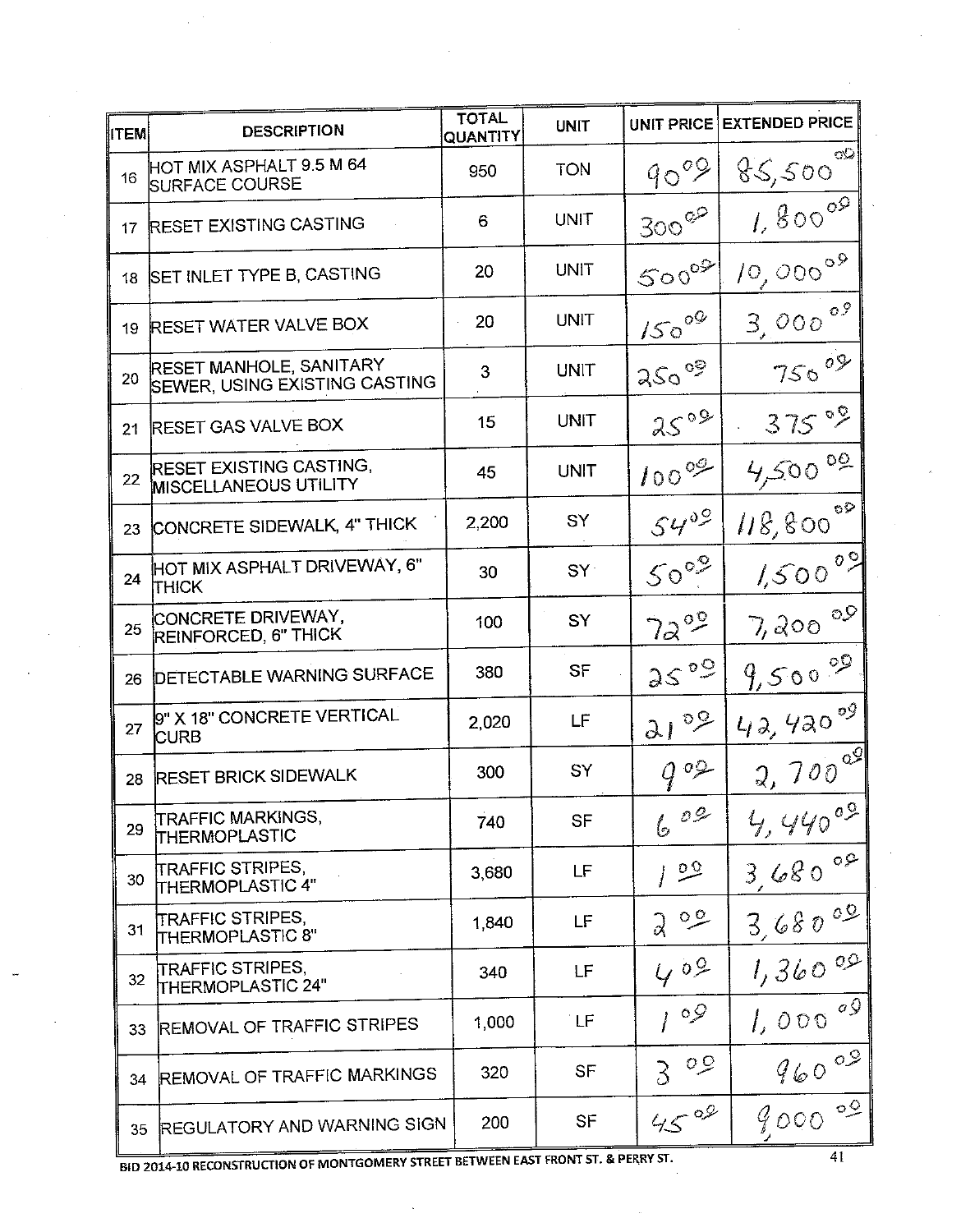| <b>ITEM</b> | <b>DESCRIPTION</b>                                              | <b>TOTAL</b><br>QUANTITY | <b>UNIT</b>     |                    | UNIT PRICE EXTENDED PRICE |
|-------------|-----------------------------------------------------------------|--------------------------|-----------------|--------------------|---------------------------|
| 16          | HOT MIX ASPHALT 9.5 M 64<br><b>SURFACE COURSE</b>               | 950                      | <b>TON</b>      | 90°9               | زان<br>85,500             |
| 17          | <b>RESET EXISTING CASTING</b>                                   | 6                        | UNIT            | $300^{\circ}$      | $1,800^{09}$              |
| 18          | SET INLET TYPE B, CASTING                                       | 20                       | UNIT            | $500^{00}$         | $10,000^{09}$             |
| 19          | <b>RESET WATER VALVE BOX</b>                                    | 20                       | UNIT            | $150^{09}$         | $3,000$ <sup>09</sup>     |
| 20          | <b>RESET MANHOLE, SANITARY</b><br>SEWER, USING EXISTING CASTING | 3                        | UNIT            | $250^\circ$        | $750^{09}$                |
| 21          | <b>RESET GAS VALVE BOX</b>                                      | 15                       | <b>UNIT</b>     | $25°^9$            | 375°9                     |
| 22          | RESET EXISTING CASTING,<br><b>MISCELLANEOUS UTILITY</b>         | 45                       | UNIT            | $100^{\circ 9}$    | $4,500^{00}$              |
| 23          | CONCRETE SIDEWALK, 4" THICK                                     | 2,200                    | SY              | $54^{09}$          | $\circ \circ$<br>118,800  |
| 24          | <b>HOT MIX ASPHALT DRIVEWAY, 6"</b><br><b>THICK</b>             | 30                       | SY <sup>2</sup> | $50^{\circ}$       | $1,500^{09}$              |
| 25          | CONCRETE DRIVEWAY,<br>REINFORCED, 6" THICK                      | 100                      | SY              | $72^{99}$          | $7,200$ <sup>09</sup>     |
| 26          | <b>DETECTABLE WARNING SURFACE</b>                               | 380                      | SF              | 25°9               | $9,500^{99}$              |
| 27          | 9" X 18" CONCRETE VERTICAL<br><b>CURB</b>                       | 2,020                    | LF              | $21^{09}$          | 42,42009                  |
| 28          | <b>RESET BRICK SIDEWALK</b>                                     | 300                      | SY              | 902                | $2,700^{29}$              |
| 29          | <b>TRAFFIC MARKINGS,</b><br>THERMOPLASTIC                       | 740                      | <b>SF</b>       | O G<br>6           | 4,44009                   |
| 30          | <b>TRAFFIC STRIPES,</b><br>THERMOPLASTIC 4"                     | 3,680                    | LF              | $\overline{\circ}$ | 3,680°                    |
| 31          | TRAFFIC STRIPES,<br>THERMOPLASTIC 8"                            | 1,840                    | LF              | ್ತಿ<br>$\alpha$    | 3,68000                   |
| 32          | <b>TRAFFIC STRIPES,</b><br>THERMOPLASTIC 24"                    | 340                      | LF              | 409                | 1,36000                   |
| 33          | <b>REMOVAL OF TRAFFIC STRIPES</b>                               | 1,000                    | `LF             | 109                | $1,000$ <sup>og</sup>     |
| 34          | <b>REMOVAL OF TRAFFIC MARKINGS</b>                              | 320                      | SF              | $\circ$<br>λ       | 96000                     |
| 35          | <b>REGULATORY AND WARNING SIGN</b>                              | 200                      | <b>SF</b>       | 4500               | 400000                    |

 $\ddot{\phantom{0}}$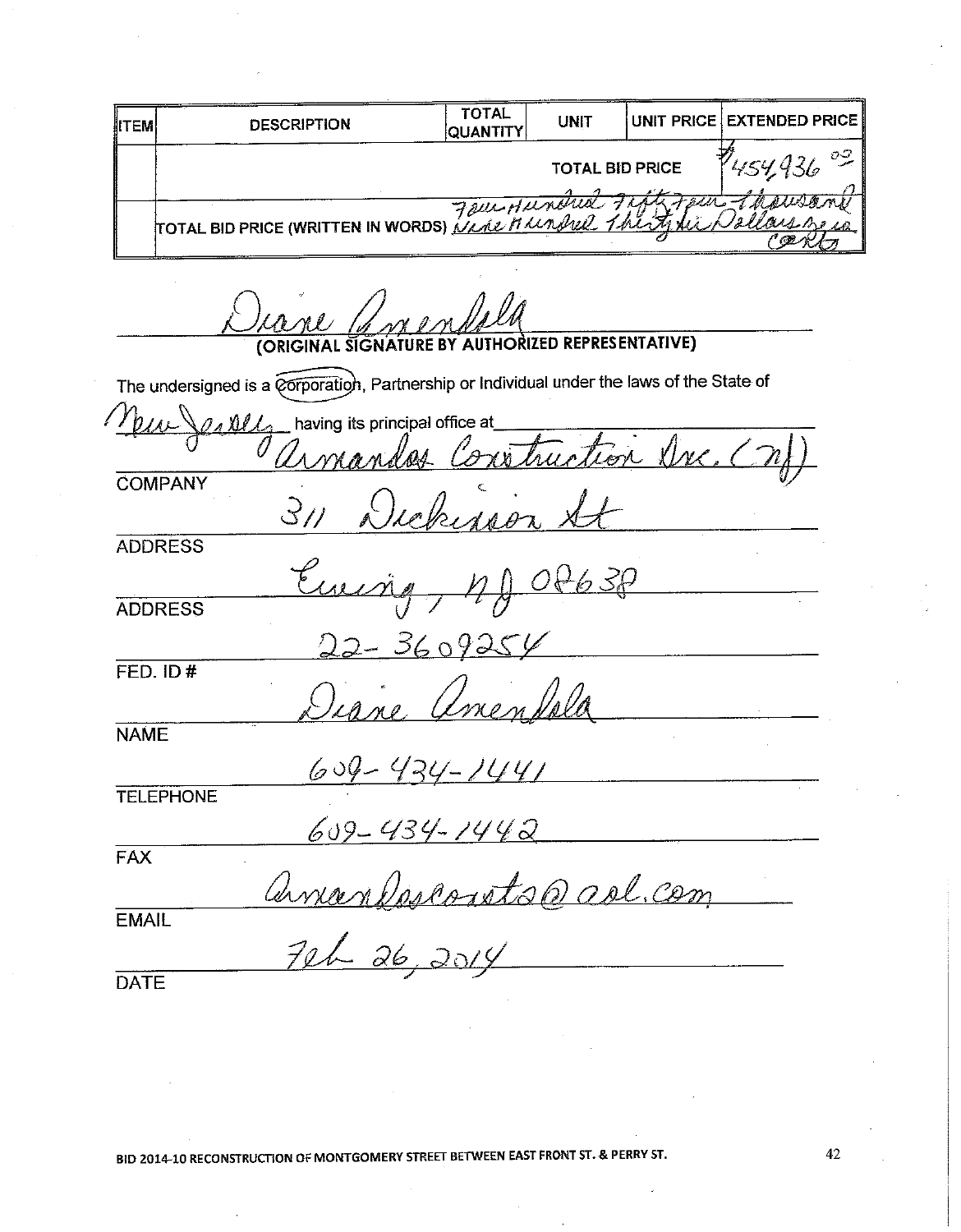| <b>IITEM</b> | <b>DESCRIPTION</b> | TOTAL<br><b>QUANTITY</b> | <b>UNIT</b>            | UNIT PRICE EXTENDED PRICE |
|--------------|--------------------|--------------------------|------------------------|---------------------------|
|              |                    |                          | <b>TOTAL BID PRICE</b> |                           |
|              |                    |                          |                        |                           |
|              | Tour Hundred Fifty |                          |                        | <i>Jallanshew</i>         |

ORIZED REPRESENTATIVE) **(ORIGINA** The undersigned is a corporation, Partnership or Individual under the laws of the State of  $h_{N\!L}$ having its principal office at  $0.111$ on Une <u>as Construc</u> COMPANY  $3\nu$  $\overline{M}$   $\overline{M}$ **ADDRESS** 630 **ADDRESS**  $360925$  $FED. ID#$ Unen Volo **NAME**  $604$ <u>- 434-7447</u> **TELEPHONE** 609 - 434 - 1442  $FAX$ amandesconta@ ad com **EMAIL**  $726.2014$ **DATE**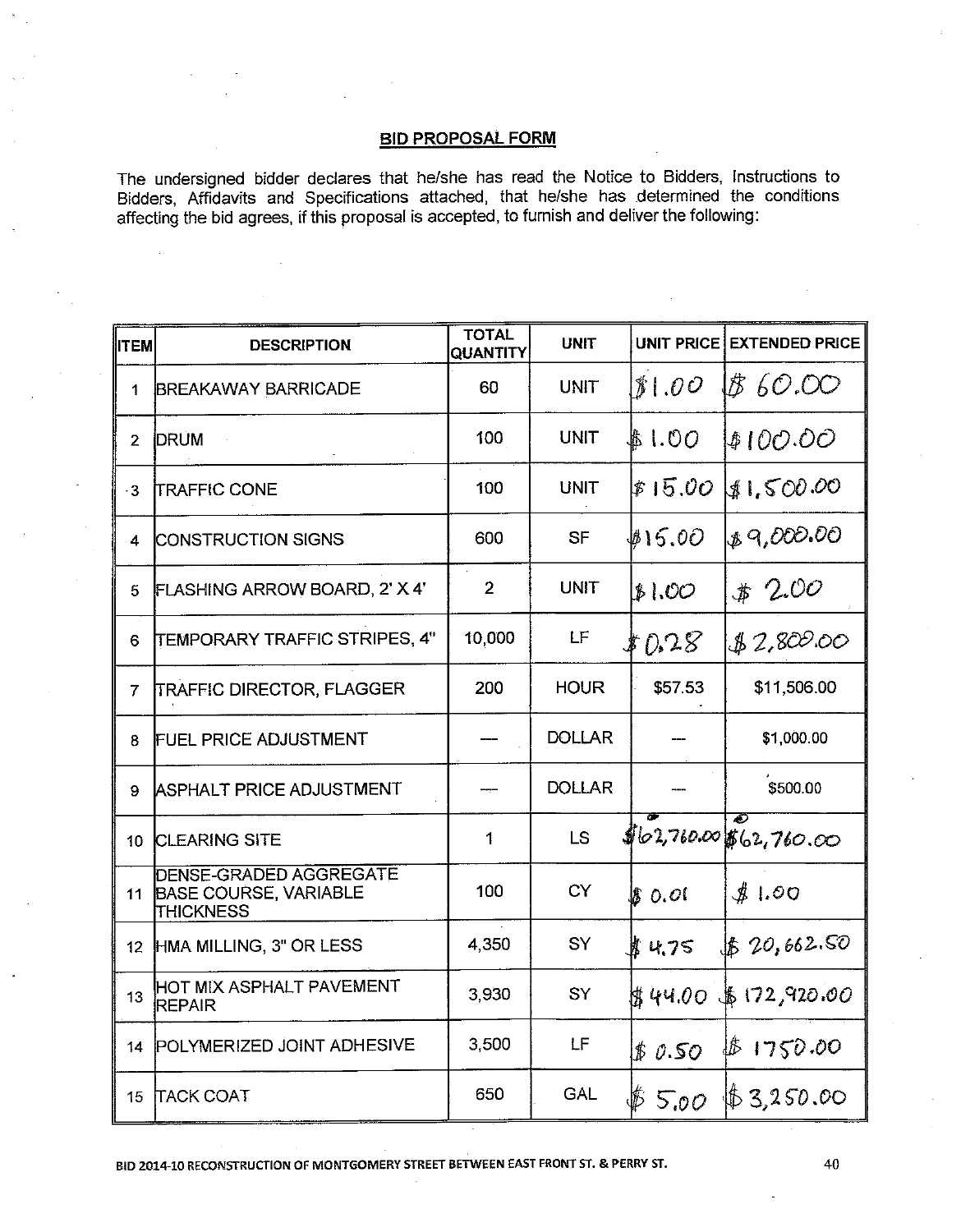The undersigned bidder declares that he/she has read the Notice to Bidders, Instructions to Bidders, Affidavits and Specifications attached, that he/she has determined the conditions affecting the bid agrees, if this proposal is accepted, to furnish and deliver the following:

| ∥ITEM          | <b>DESCRIPTION</b>                                                         | <b>TOTAL</b><br><b>QUANTITY</b> | <b>UNIT</b>   |          | UNIT PRICE EXTENDED PRICE  |
|----------------|----------------------------------------------------------------------------|---------------------------------|---------------|----------|----------------------------|
| $\mathbf{1}$   | <b>BREAKAWAY BARRICADE</b>                                                 | 60                              | <b>UNIT</b>   | 31.00    | 18 6O.OO                   |
| $\overline{2}$ | <b>DRUM</b>                                                                | 100                             | <b>UNIT</b>   | \$1.00   | \$100.00                   |
| $-3$           | <b>TRAFFIC CONE</b>                                                        | 100                             | <b>UNIT</b>   | \$15.00  | \$1,500.00                 |
| 4              | <b>CONSTRUCTION SIGNS</b>                                                  | 600                             | <b>SF</b>     | #15.00   | \$9,000.00                 |
| 5              | FLASHING ARROW BOARD, 2' X 4'                                              | $\overline{2}$                  | <b>UNIT</b>   | \$1.00   | $*200$                     |
| 6              | TEMPORARY TRAFFIC STRIPES, 4"                                              | 10,000                          | LF            | \$0.28   | \$2,800.00                 |
| $\overline{7}$ | TRAFFIC DIRECTOR, FLAGGER                                                  | 200                             | <b>HOUR</b>   | \$57.53  | \$11,506.00                |
| 8              | <b>FUEL PRICE ADJUSTMENT</b>                                               |                                 | <b>DOLLAR</b> |          | \$1,000.00                 |
| 9              | <b>ASPHALT PRICE ADJUSTMENT</b>                                            |                                 | <b>DOLLAR</b> |          | \$500.00                   |
| 10             | <b>CLEARING SITE</b>                                                       | $\mathbf{1}$                    | LS            |          | ক<br>102,760.001662,760.00 |
| 11             | DENSE-GRADED AGGREGATE<br><b>BASE COURSE, VARIABLE</b><br><b>THICKNESS</b> | 100                             | <b>CY</b>     | \$ 0.01  | #1.00                      |
| 12             | HMA MILLING, 3" OR LESS                                                    | 4,350                           | SY            | ■ 4.75   | \$20,662.50                |
| 13             | HOT MIX ASPHALT PAVEMENT<br><b>REPAIR</b>                                  | 3,930                           | SY            | \$ 44.00 | 16172,920.00               |
| 14             | POLYMERIZED JOINT ADHESIVE                                                 | 3,500                           | LF            | \$0.50   | \$1750.00                  |
| 15             | <b>TACK COAT</b>                                                           | 650                             | <b>GAL</b>    | \$5.00   | 163,250.00                 |

BID 2014-10 RECONSTRUCTION OF MONTGOMERY STREET BETWEEN EAST FRONT ST. & PERRY ST.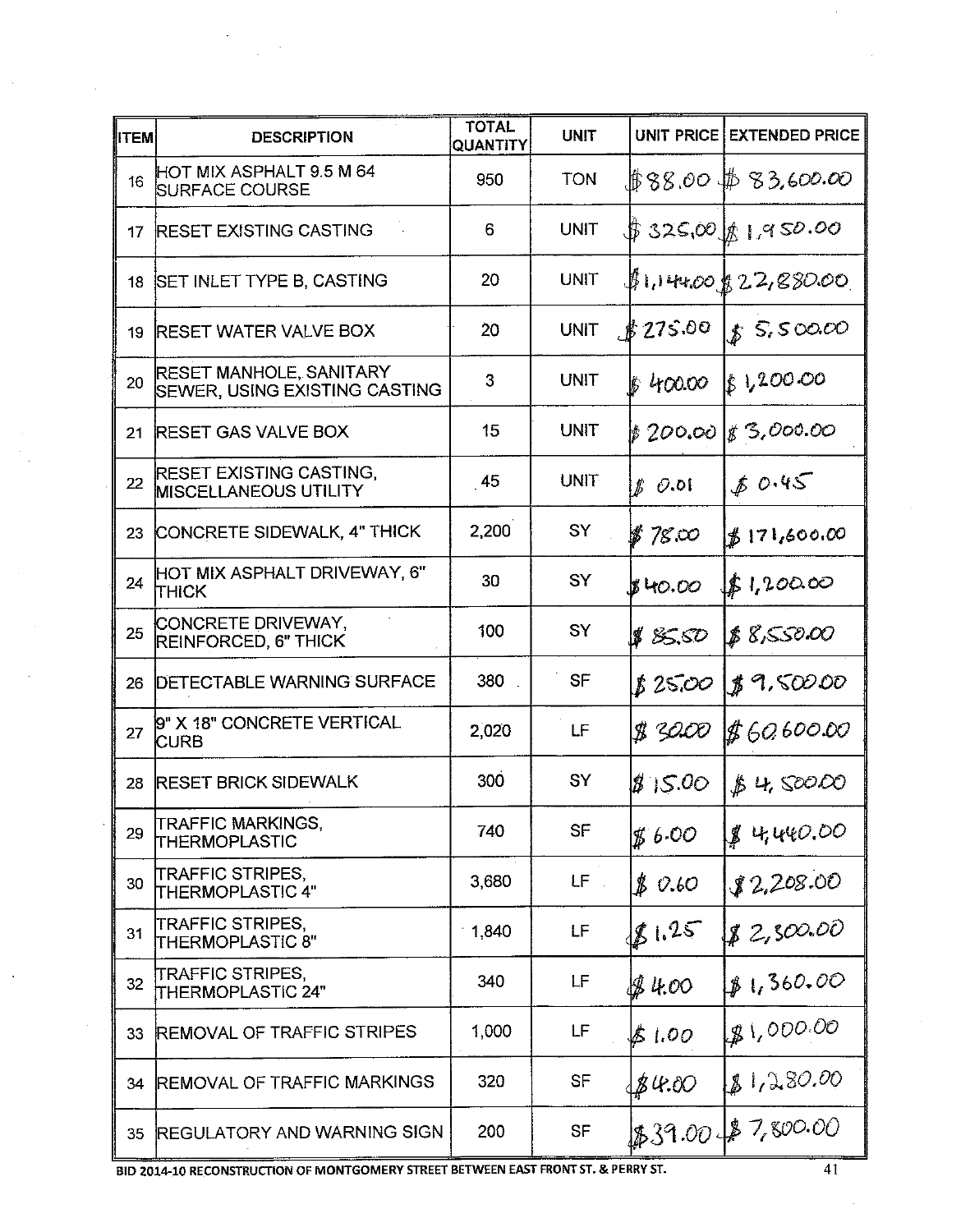| ∥ITEM | <b>DESCRIPTION</b>                                              | <b>TOTAL</b><br>QUANTITY | <b>UNIT</b> |                  | UNIT PRICE EXTENDED PRICE |
|-------|-----------------------------------------------------------------|--------------------------|-------------|------------------|---------------------------|
| 16    | HOT MIX ASPHALT 9.5 M 64<br><b>SURFACE COURSE</b>               | 950                      | <b>TON</b>  |                  | \$88.00\$\$83.600.00      |
| 17    | <b>RESET EXISTING CASTING</b>                                   | 6                        | <b>UNIT</b> |                  | \$325,00161,950.00        |
| 18    | <b>SET INLET TYPE B, CASTING</b>                                | 20                       | <b>UNIT</b> |                  | $\#1,144,001,22,880,00$   |
| 19    | <b>RESET WATER VALVE BOX</b>                                    | 20                       | <b>UNIT</b> | \$275.00         | 85.500.00                 |
| 20    | <b>RESET MANHOLE, SANITARY</b><br>SEWER, USING EXISTING CASTING | 3                        | UNIT        | \$400.00         | 81,200.00                 |
| 21    | <b>RESET GAS VALVE BOX</b>                                      | 15                       | <b>UNIT</b> |                  | \$200.00 \$3,000.00       |
| 22    | <b>RESET EXISTING CASTING,</b><br><b>MISCELLANEOUS UTILITY</b>  | -45                      | <b>UNIT</b> | $\n  B$ $\n  OA$ | 80.45                     |
| 23    | CONCRETE SIDEWALK, 4" THICK                                     | 2,200                    | SY          | $$78\,\infty$    | 171,600.00                |
| 24    | HOT MIX ASPHALT DRIVEWAY, 6"<br><b>Ітніск</b>                   | 30                       | SY          | \$40.00          | 51,20000                  |
| 25    | CONCRETE DRIVEWAY,<br>REINFORCED, 6" THICK                      | 100                      | SY          | \$ 85.50         | \$8,550.00                |
| 26    | <b>DETECTABLE WARNING SURFACE</b>                               | 380                      | <b>SF</b>   | 8 25.00          | 89,50000                  |
| 27    | 9" X 18" CONCRETE VERTICAL<br><b>CURB</b>                       | 2,020                    | LF          | \$1 30.00        | \$60,600.00               |
| 28    | <b>RESET BRICK SIDEWALK</b>                                     | 300                      | SY          | 815.00           | \$4,50000                 |
| 29    | <b>TRAFFIC MARKINGS,</b><br>ITHERMOPLASTIC                      | 740                      | SF          | $\n  g 6.00\n$   | 84440.00                  |
| 30    | ITRAFFIC STRIPES,<br>THERMOPLASTIC 4"                           | 3,680                    | $LF$ .      | $\n  B 0.60\n$   | \$2,208.00                |
| 31    | TRAFFIC STRIPES,<br><b>THERMOPLASTIC 8"</b>                     | 1,840                    | LF          | 81.25            | 82,500.00                 |
| 32    | TRAFFIC STRIPES,<br>THERMOPLASTIC 24"                           | 340                      | LF          | JS 4.00          | 1,360.00                  |
| 33    | <b>REMOVAL OF TRAFFIC STRIPES</b>                               | 1,000                    | LF          | \$ 1.00          | 1,000.00                  |
| 34    | <b>IREMOVAL OF TRAFFIC MARKINGS</b>                             | 320                      | <b>SF</b>   | \$4.00           | 81,280.00                 |
| 35    | <b>REGULATORY AND WARNING SIGN</b>                              | 200                      | <b>SF</b>   |                  | \$39.00 \$ 7,800.00       |

 $\sim$ 

 $\sim$ 

 $\ddot{\phantom{a}}$ 

BID 2014-10 RECONSTRUCTION OF MONTGOMERY STREET BETWEEN EAST FRONT ST. & PERRY ST.

 $\bar{\rm t}$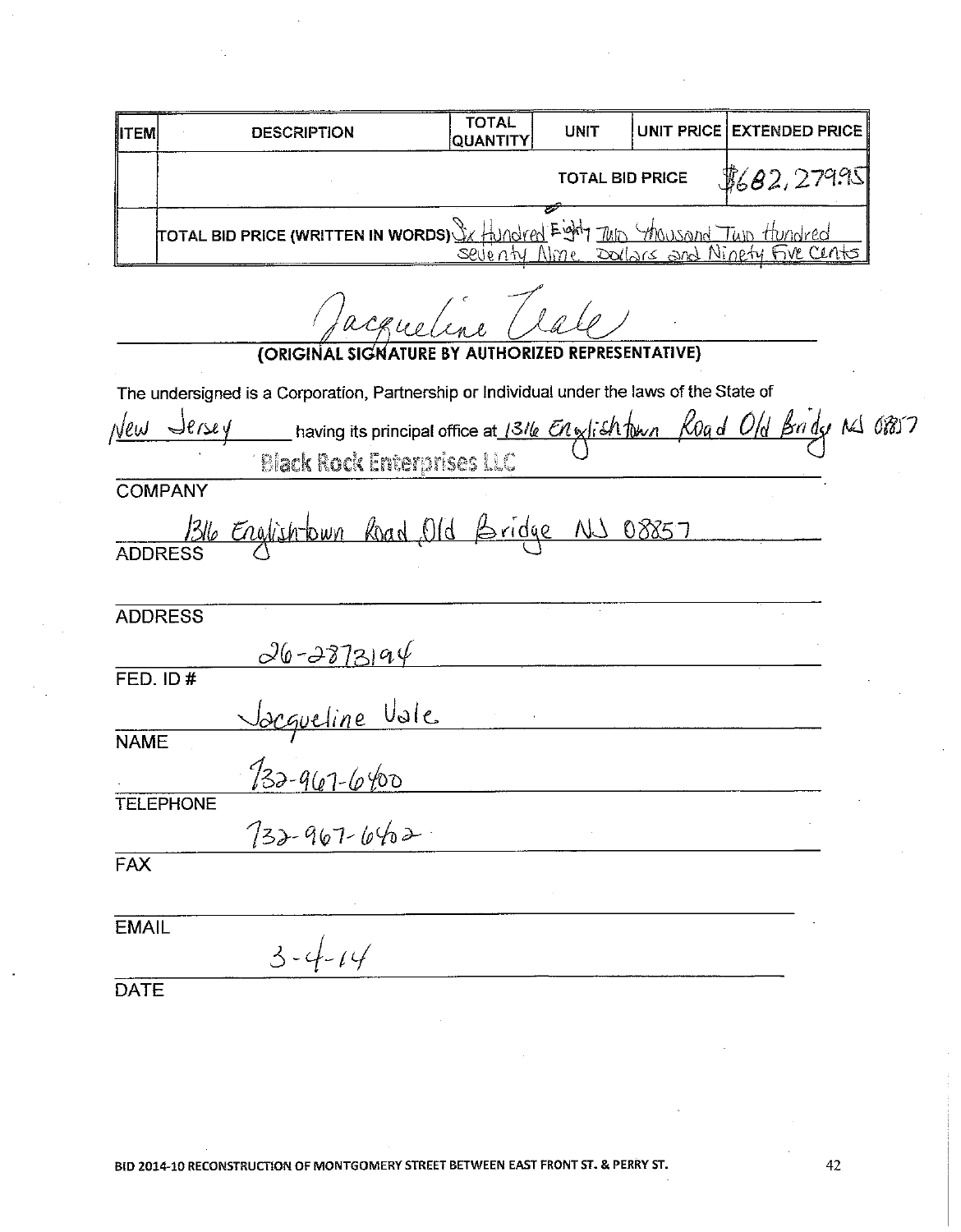| <b>IITEM</b> | <b>DESCRIPTION</b>                                                         | <b>TOTAL</b><br><b>QUANTITY</b> | <b>UNIT</b>            | UNIT PRICE EXTENDED PRICE         |
|--------------|----------------------------------------------------------------------------|---------------------------------|------------------------|-----------------------------------|
|              |                                                                            |                                 | <b>TOTAL BID PRICE</b> | \$692,279.95]                     |
|              | TOTAL BID PRICE (WRITTEN IN WORDS) & Hundred Eight TWD Mousand Twp Hundred |                                 |                        | Nme Dollars and Ninety Five Cents |

| facquetine                                                                                      |  |
|-------------------------------------------------------------------------------------------------|--|
| (ORIGINAL SIGNATURE BY AUTHORIZED REPRESENTATIVE)                                               |  |
| The undersigned is a Corporation, Partnership or Individual under the laws of the State of      |  |
| New Jersey having its principal office at 1316 $\epsilon$ n glish town Road Old Bridge NS 08857 |  |
| <b>Black Rock Enterprises LLC</b>                                                               |  |
| <b>COMPANY</b>                                                                                  |  |
| 1316 Englishtown Road Old Bridge NJ 08857                                                       |  |
| <b>ADDRESS</b>                                                                                  |  |
| $26 - 2873994$                                                                                  |  |
| FED. ID#                                                                                        |  |
|                                                                                                 |  |
| <u>Jacqueline Vale</u><br>132-961-6400<br><b>NAME</b>                                           |  |
| <b>TELEPHONE</b>                                                                                |  |
| $732 - 967 - 6402$                                                                              |  |
| <b>FAX</b>                                                                                      |  |
| <b>EMAIL</b><br>$3 - 4 - 14$                                                                    |  |
| <b>DATE</b>                                                                                     |  |

 $42\,$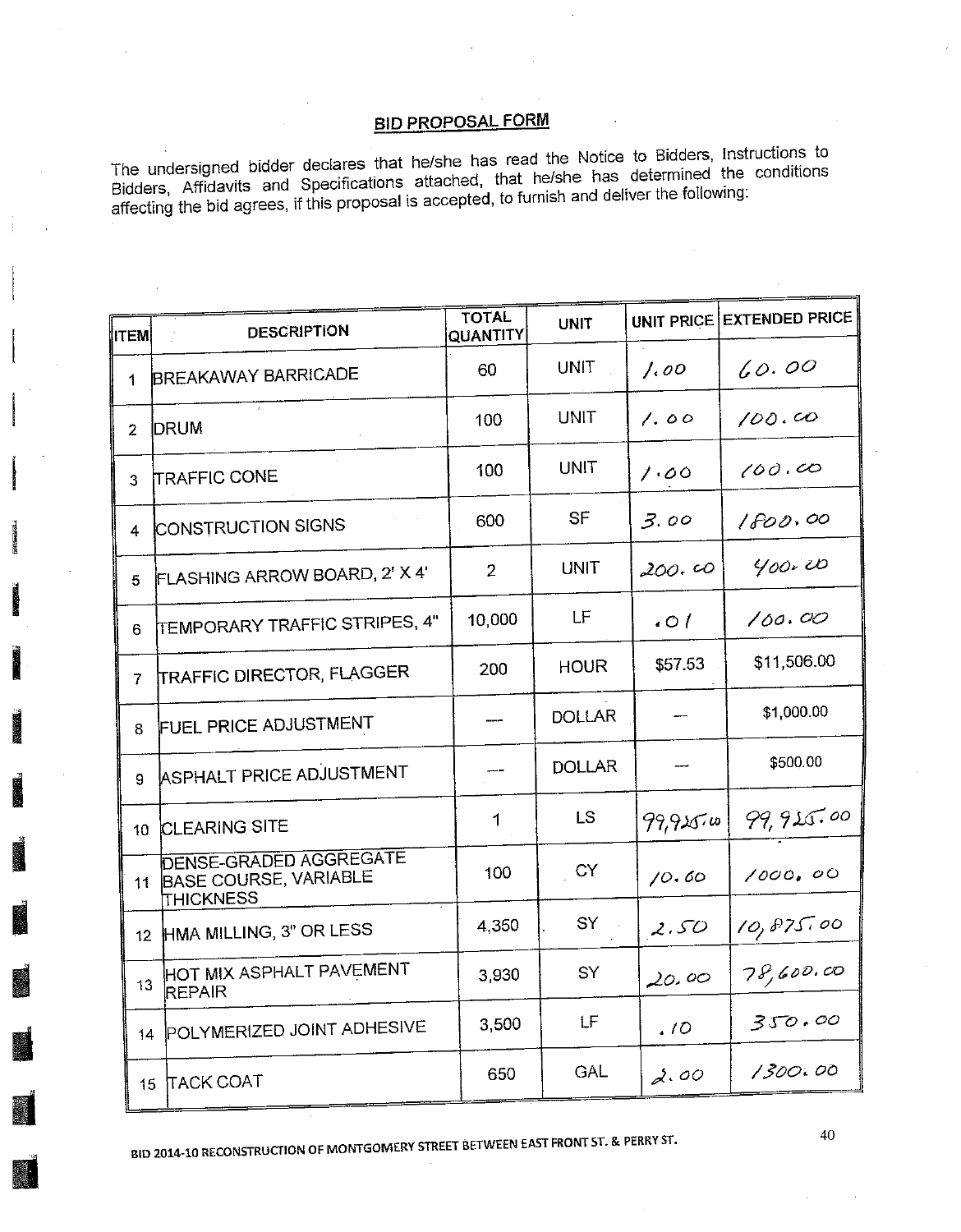The undersigned bidder declares that he/she has read the Notice to Bidders, Instructions to Bidders, Affidavits and Specifications attached, that he/she has determined the conditions affecting the bid agrees, if this proposal is accepted, to furnish and deliver the following:

| ∥ιτ∈м∣          | <b>DESCRIPTION</b>                                                  | <b>TOTAL</b><br>QUANTITY | <b>UNIT</b>   |          | UNIT PRICE EXTENDED PRICE |
|-----------------|---------------------------------------------------------------------|--------------------------|---------------|----------|---------------------------|
| 1               | <b>BREAKAWAY BARRICADE</b>                                          | 60                       | <b>UNIT</b>   | 1.00     | 60.00                     |
| 2               | <b>IDRUM</b>                                                        | 100                      | <b>UNIT</b>   | 1.00     | 100.00                    |
| 3               | <b>TRAFFIC CONE</b>                                                 | 100                      | <b>UNIT</b>   | 1.00     | 100.00                    |
| 4               | CONSTRUCTION SIGNS                                                  | 600                      | <b>SF</b>     | 3.00     | 1800.00                   |
| 5               | FLASHING ARROW BOARD, 2' X 4'                                       | $\overline{2}$           | <b>UNIT</b>   | 200.00   | 400.00                    |
| 6               | <b>TEMPORARY TRAFFIC STRIPES, 4"</b>                                | 10,000                   | ίF            | .01      | 100.00                    |
| 7               | <b>TRAFFIC DIRECTOR, FLAGGER</b>                                    | 200                      | <b>HOUR</b>   | \$57.53  | \$11,506.00               |
| 8               | <b>FUEL PRICE ADJUSTMENT</b>                                        |                          | <b>DOLLAR</b> | $-$      | \$1,000.00                |
| 9.              | ASPHALT PRICE ADJUSTMENT                                            |                          | <b>DOLLAR</b> |          | \$500.00                  |
| 10              | <b>CLEARING SITE</b>                                                | 1                        | LS.           | 99,915.0 | 99,915.00                 |
| 11              | <b>DENSE-GRADED AGGREGATE</b><br>BASE COURSE, VARIABLE<br>THICKNESS | 100                      | CY            | 10.60    | 1000, 00                  |
| 12 <sup>2</sup> | HMA MILLING, 3" OR LESS                                             | 4,350                    | SY            | 2.50     | 10,875.00                 |
| 13              | HOT MIX ASPHALT PAVEMENT<br>REPAIR                                  | 3,930                    | SY            | 20.00    | 78,600.00                 |
| 14              | POLYMERIZED JOINT ADHESIVE                                          | 3,500                    | LF            | .10      | 350.00                    |
|                 | 15 TACK COAT                                                        | 650                      | GAL           | 2.00     | 1300.00                   |

BID 2014-10 RECONSTRUCTION OF MONTGOMERY STREET BETWEEN EAST FRONT ST. & PERRY ST.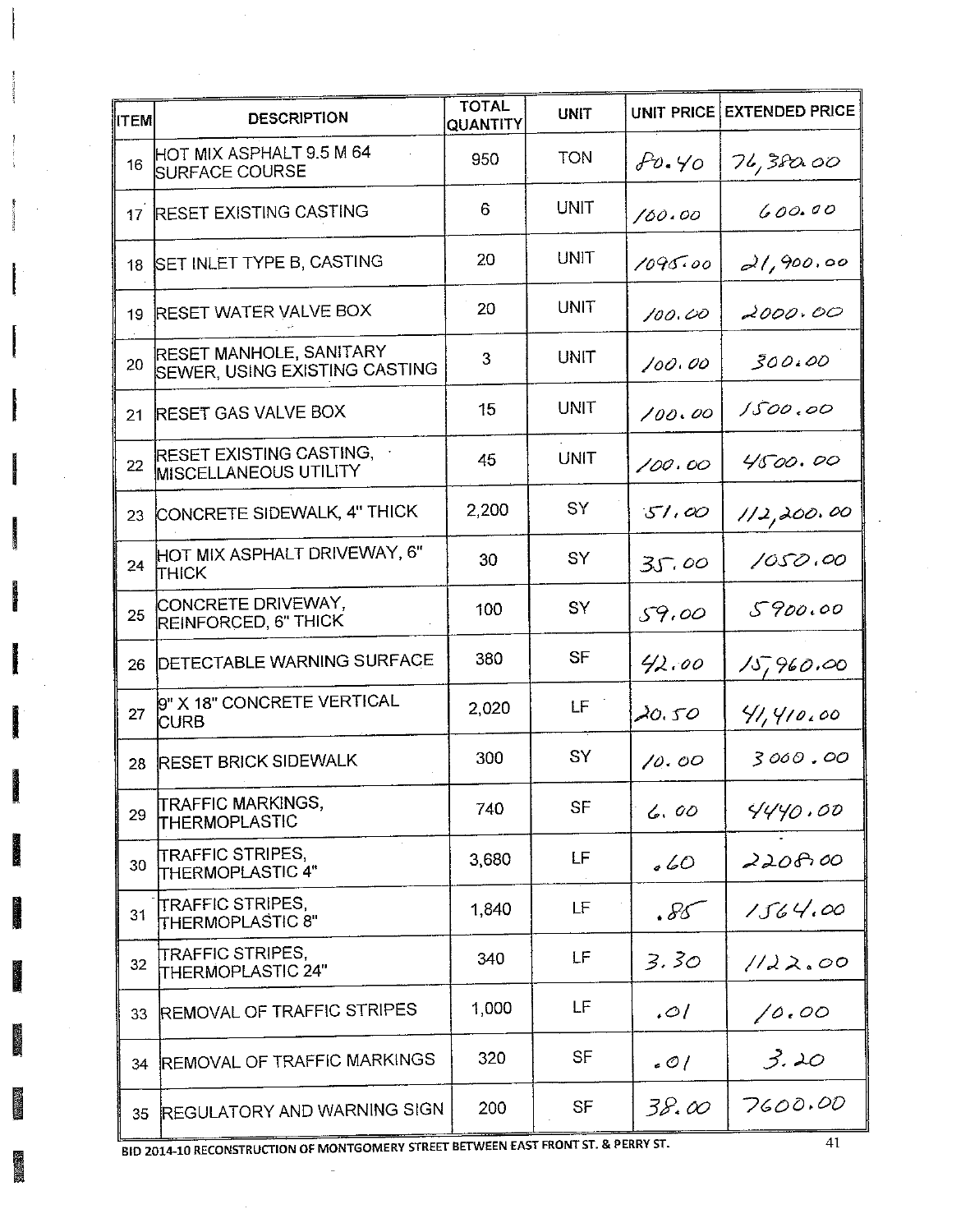| <b>ITEM</b>     | <b>DESCRIPTION</b>                                                     | <b>TOTAL</b><br>QUANTITY | <b>UNIT</b> | UNIT PRICE | <b>EXTENDED PRICE</b> |
|-----------------|------------------------------------------------------------------------|--------------------------|-------------|------------|-----------------------|
| 16              | HOT MIX ASPHALT 9.5 M 64<br><b>SURFACE COURSE</b>                      | 950                      | <b>TON</b>  | $Po.$ Yo   | 76,380.00             |
| 17 <sup>2</sup> | <b>RESET EXISTING CASTING</b>                                          | 6                        | UNIT        | 100.00     | 600.00                |
| 18              | SET INLET TYPE B, CASTING                                              | 20                       | UNIT        | 1095.00    | 21,900.00             |
| 19              | <b>RESET WATER VALVE BOX</b>                                           | 20                       | UNIT        | 100.00     | 2000.00               |
| 20              | <b>RESET MANHOLE, SANITARY</b><br><b>SEWER, USING EXISTING CASTING</b> | 3                        | UNIT        | 100.00     | 300.00                |
| 21              | <b>RESET GAS VALVE BOX</b>                                             | 15                       | UNIT        | 100.00     | 1500.00               |
| 22              | RESET EXISTING CASTING,<br><b>MISCELLANEOUS UTILITY</b>                | 45                       | <b>UNIT</b> | 100.00     | 4500.00               |
|                 | 23 CONCRETE SIDEWALK, 4" THICK                                         | 2,200                    | SY          | 51.00      | 1/2,200.00            |
| 24              | HOT MIX ASPHALT DRIVEWAY, 6"<br>Ітніск                                 | 30                       | SY          | 35.00      | 1050.00               |
| 25              | CONCRETE DRIVEWAY.<br>REINFORCED, 6" THICK                             | 100                      | SY          | 59.00      | 5900.00               |
| 26              | <b>DETECTABLE WARNING SURFACE</b>                                      | 380                      | SF          | 42.00      | 15,960.00             |
| 27              | 9" X 18" CONCRETE VERTICAL<br><b>CURB</b>                              | 2,020                    | LF.         | 20.50      | 41,410,00             |
| 28              | <b>RESET BRICK SIDEWALK</b>                                            | 300                      | SY          | 10.00      | 3000.00               |
| 29              | <b>TRAFFIC MARKINGS,</b><br>THERMOPLASTIC                              | 740                      | <b>SF</b>   | 6.00       | 4440.00               |
| 30              | TRAFFIC STRIPES,<br><b>THERMOPLASTIC 4"</b>                            | 3,680                    | LF          | . 60       | 220800                |
| 31              | <b>TRAFFIC STRIPES,</b><br>THERMOPLASTIC 8"                            | 1,840                    | LF          | . 88       | 1564.00               |
| 32              | <b>TRAFFIC STRIPES,</b><br>THERMOPLASTIC 24"                           | 340                      | LF          | 3.30       | 1122.00               |
| 33              | REMOVAL OF TRAFFIC STRIPES                                             | 1,000                    | LF          | $\cdot$ 01 | $\sqrt{0.00}$         |
| 34              | <b>REMOVAL OF TRAFFIC MARKINGS</b>                                     | 320                      | SF          | .0/        | 3.20                  |
| 35              | <b>REGULATORY AND WARNING SIGN</b>                                     | 200                      | <b>SF</b>   | 38.00      | 7600.00               |

 $\overline{a}$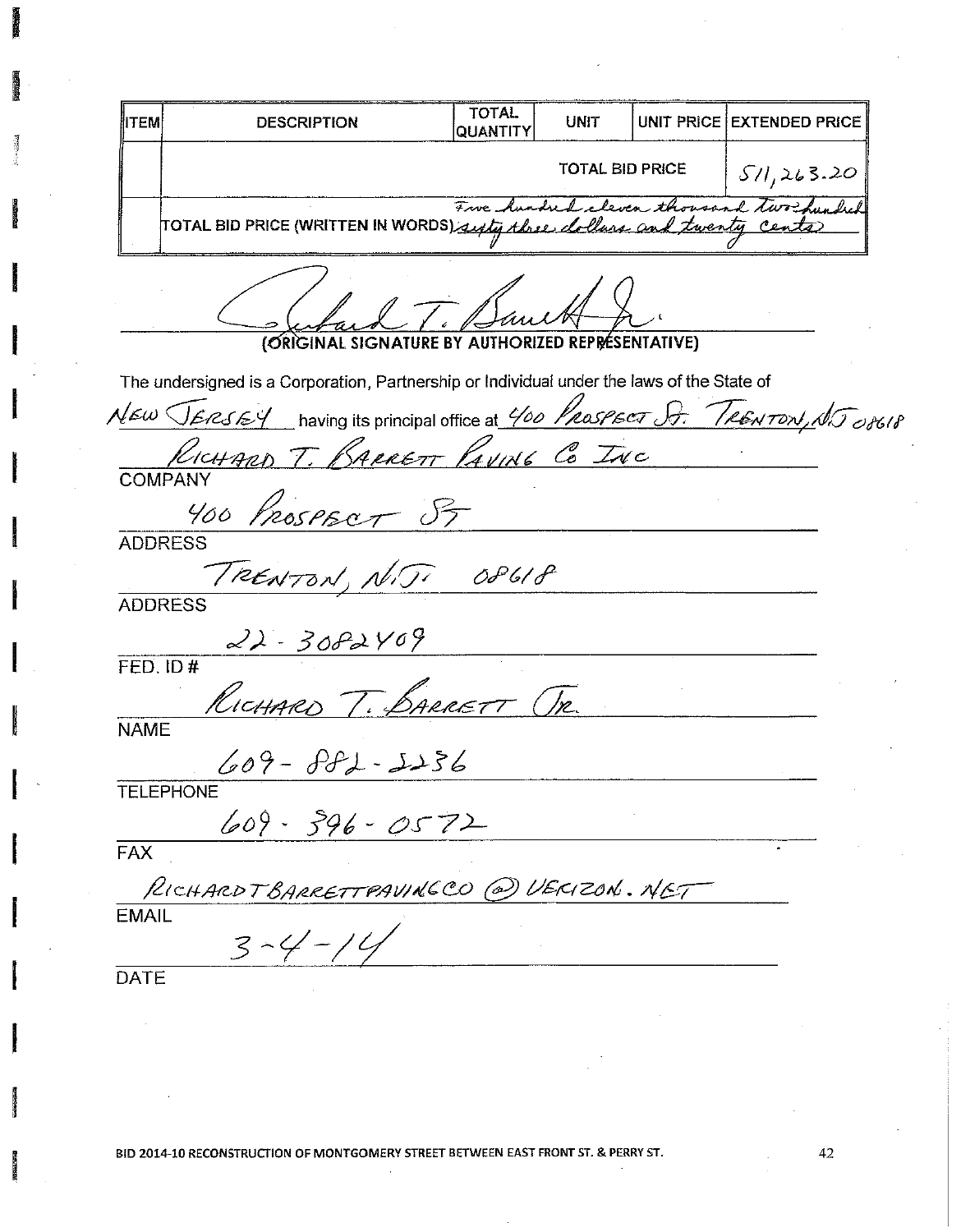| <b>ITEM</b>   | <b>DESCRIPTION</b>                                                                         | <b>TOTAL</b><br>QUANTITY | <b>UNIT</b>                       | UNIT PRICE EXTENDED PRICE               |
|---------------|--------------------------------------------------------------------------------------------|--------------------------|-----------------------------------|-----------------------------------------|
|               |                                                                                            |                          | <b>TOTAL BID PRICE</b>            | 571,263.20                              |
|               | TOTAL BID PRICE (WRITTEN IN WORDS) supty three clollars and twenty cents                   |                          |                                   | Fre hundred cleven thousand two his hel |
|               | (ØRIGINAL SIGNATU                                                                          |                          | <b>AUTHORIZED REPRESENTATIVE)</b> |                                         |
|               | The undersigned is a Corporation, Partnership or Individual under the laws of the State of |                          |                                   |                                         |
|               | NEW JERSEY having its principal office at 400 PROSPECT St. TRENTON, NJ 08618               |                          |                                   |                                         |
|               | RICHARD T. BARRETT PAVING CO INC                                                           |                          |                                   |                                         |
|               | <b>COMPANY</b><br>NYOO PROSPECT PT                                                         |                          |                                   |                                         |
|               | <b>ADDRESS</b>                                                                             |                          |                                   |                                         |
|               | TRENTON, NIJI O8618                                                                        |                          |                                   |                                         |
|               | <b>ADDRESS</b>                                                                             |                          |                                   |                                         |
|               | $22 - 3082409$                                                                             |                          |                                   |                                         |
| $FED.$ ID $#$ |                                                                                            |                          |                                   |                                         |
|               | RICHARD T. BARRETT TR.                                                                     |                          |                                   |                                         |
| <b>NAME</b>   |                                                                                            |                          |                                   |                                         |
|               | $609 - PFL - JJS6$                                                                         |                          |                                   |                                         |
|               | <b>TELEPHONE</b><br>$609 - 396 - 0572$                                                     |                          |                                   |                                         |
| <b>FAX</b>    |                                                                                            |                          |                                   |                                         |
|               | RICHARDTBARRETTPAVINGCO @ VERIZON. NET                                                     |                          |                                   |                                         |
| <b>EMAIL</b>  | $3 - 4 - 14$                                                                               |                          |                                   |                                         |
| <b>DATE</b>   |                                                                                            |                          |                                   |                                         |

建筑

清清

 $42\,$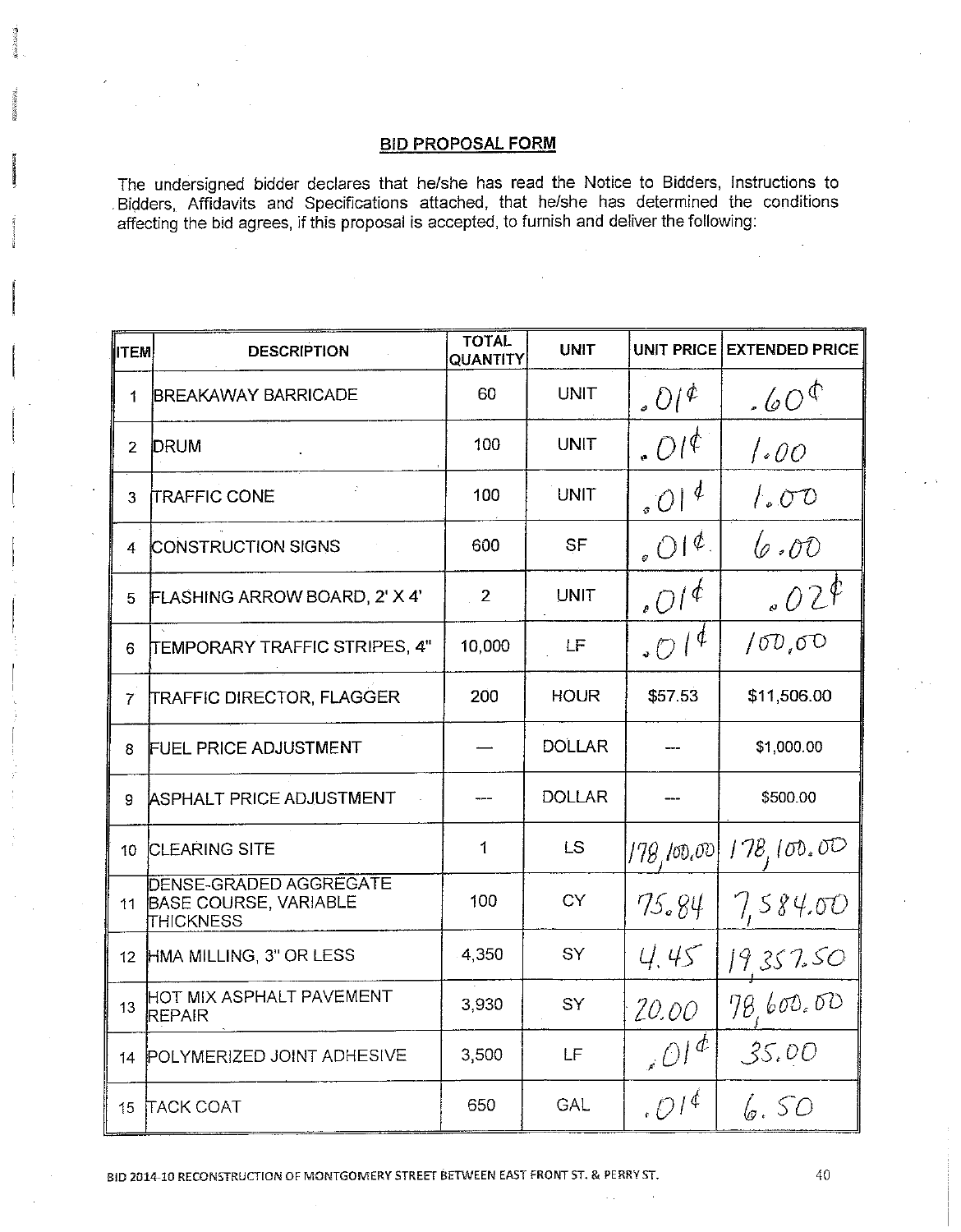The undersigned bidder declares that he/she has read the Notice to Bidders, Instructions to Bidders, Affidavits and Specifications attached, that he/she has determined the conditions affecting the bid agrees, if this proposal is accepted, to furnish and deliver the following:

| <b>IITEM</b>    | <b>DESCRIPTION</b>                                                                | <b>TOTAL</b><br>QUANTITY | <b>UNIT</b>   |                                        | UNIT PRICE EXTENDED PRICE |
|-----------------|-----------------------------------------------------------------------------------|--------------------------|---------------|----------------------------------------|---------------------------|
| $\mathbf 1$     | <b>BREAKAWAY BARRICADE</b>                                                        | 60                       | <b>UNIT</b>   | $.01^{\circ}$                          | .60 <sup>0</sup>          |
|                 | 2 DRUM                                                                            | 100                      | <b>UNIT</b>   | $.01^{\circ}$                          | 1.00                      |
| 3               | <b>TRAFFIC CONE</b>                                                               | 100                      | <b>UNIT</b>   | $\cdot$ 01 <sup>4</sup>                | $\int_{a}^{b} 0^{\circ}$  |
| 4               | <b>CONSTRUCTION SIGNS</b>                                                         | 600                      | SF            | $_6$ OI <sup><math>\phi</math></sup> . | 6.00                      |
| 5.              | FLASHING ARROW BOARD, 2' X 4'                                                     | $\overline{2}$           | <b>UNIT</b>   | $_0O/4$                                | 020                       |
| 6               | TEMPORARY TRAFFIC STRIPES, 4"                                                     | 10,000                   | LF            | 0.04                                   | 100,00                    |
| 7               | <b>TRAFFIC DIRECTOR, FLAGGER</b>                                                  | 200                      | <b>HOUR</b>   | \$57.53                                | \$11,506.00               |
| 8               | <b>FUEL PRICE ADJUSTMENT</b>                                                      |                          | <b>DOLLAR</b> |                                        | \$1,000.00                |
| 9.              | ASPHALT PRICE ADJUSTMENT                                                          |                          | <b>DOLLAR</b> |                                        | \$500.00                  |
| 10              | <b>CLEARING SITE</b>                                                              | 1                        | LS            | [178, 100, 00]                         | 178,100,00                |
| 11              | <b>DENSE-GRADED AGGREGATE</b><br><b>BASE COURSE, VARIABLE</b><br><b>THICKNESS</b> | 100                      | <b>CY</b>     | 75.84                                  | 7,584.00                  |
| 12 <sub>2</sub> | HMA MILLING, 3" OR LESS                                                           | 4,350                    | SY            | 4.45                                   | 19.357.50                 |
| 13              | HOT MIX ASPHALT PAVEMENT<br><b>REPAIR</b>                                         | 3,930                    | SY            | 20.00                                  | 78,600.00                 |
| 14              | POLYMERIZED JOINT ADHESIVE                                                        | 3,500                    | LF            | $\partial l^{\phi}$                    | 35.00                     |
|                 | 15 TACK COAT                                                                      | 650                      | GAL           | .01 <sup>4</sup>                       | 6,50                      |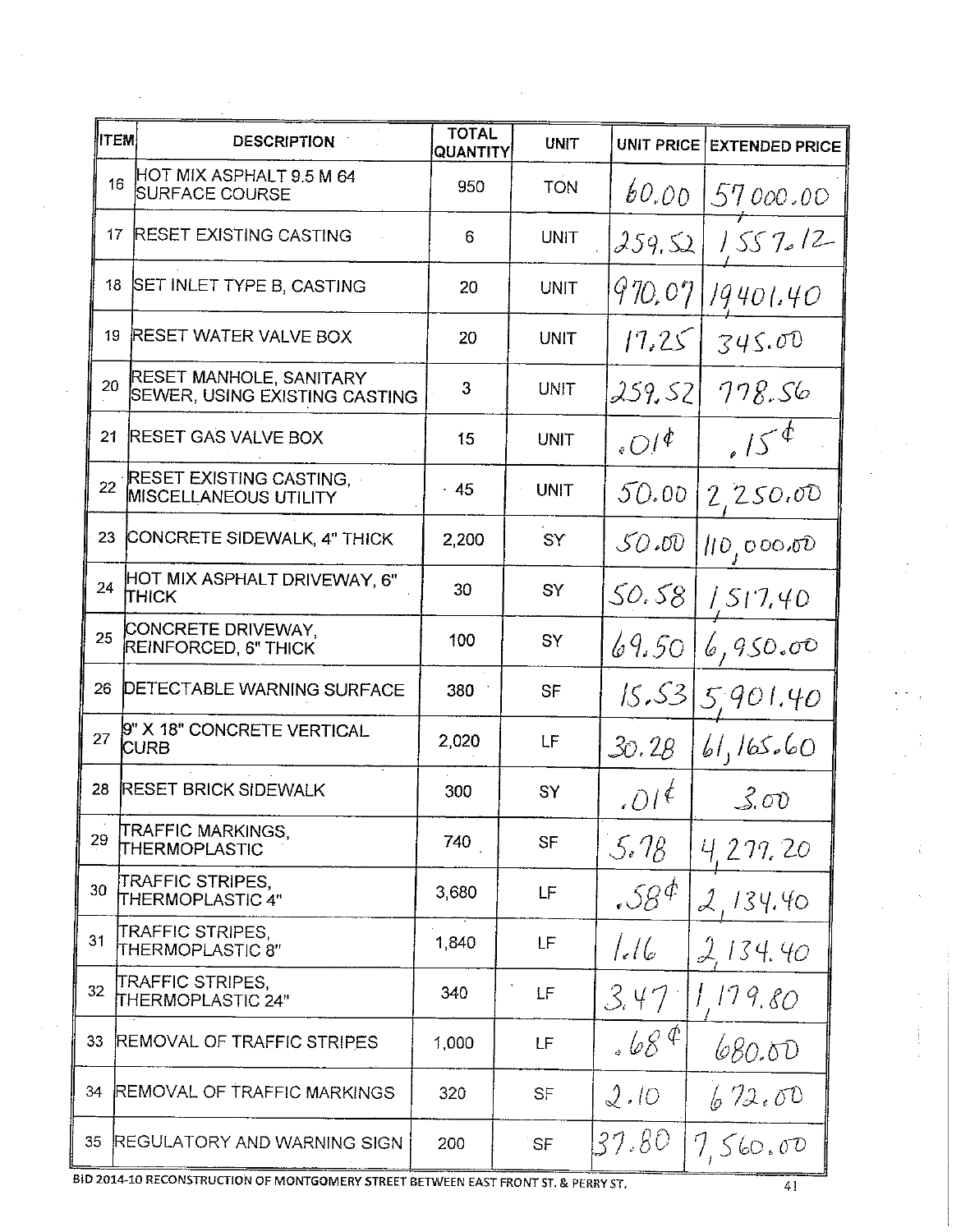| <b>UNIT PRICE EXTENDED PRICE</b> |
|----------------------------------|
| 57000.00                         |
| 1557/2                           |
| 19401.40                         |
| 345.00                           |
| 778.56                           |
| 15 <sup>o</sup>                  |
| 2,250.00                         |
| 110,000.00                       |
| 1517.40                          |
| 6,950.00                         |
| 15.53 5.901.40                   |
| 61,165.60                        |
| 3.00                             |
| 4277.20                          |
| 134.40                           |
| 2134.40                          |
| 1,179,80                         |
| 680.00                           |
| 672.00                           |
| 7,560,00                         |
|                                  |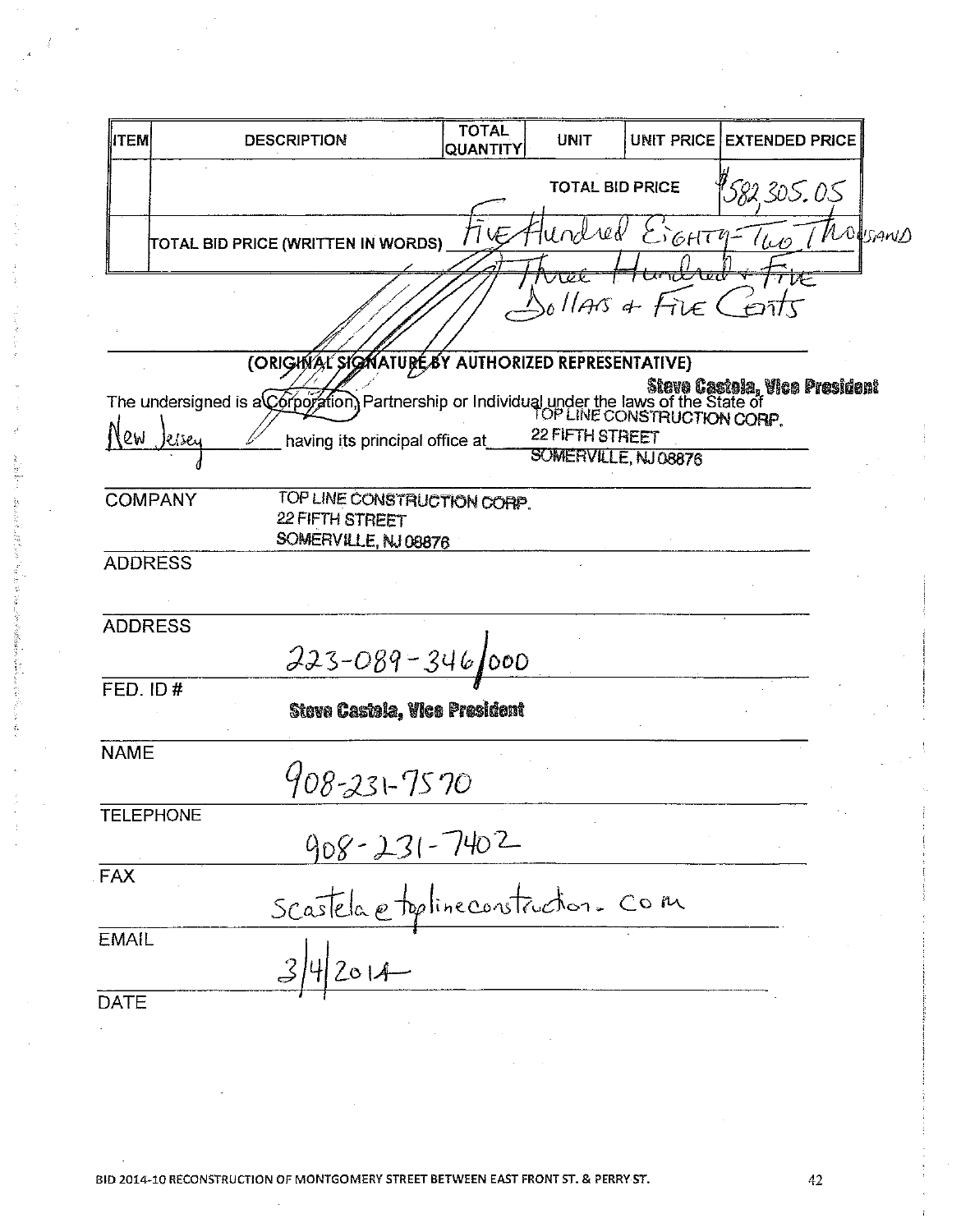| <b>ITEM</b>      | <b>DESCRIPTION</b>                                                                                                                                         | <b>TOTAL</b><br>QUANTITY | <b>UNIT</b>                             |                                               | UNIT PRICE EXTENDED PRICE |                |
|------------------|------------------------------------------------------------------------------------------------------------------------------------------------------------|--------------------------|-----------------------------------------|-----------------------------------------------|---------------------------|----------------|
|                  |                                                                                                                                                            |                          | <b>TOTAL BID PRICE</b>                  |                                               | 582.305.05                |                |
|                  | TOTAL BID PRICE (WRITTEN IN WORDS)                                                                                                                         |                          | Intred                                  | $E_{6}HT$                                     |                           | <i>Mogrand</i> |
|                  |                                                                                                                                                            |                          |                                         | <del>ᡡᡳᢣᡆ</del><br>$\omega$ llars a Fire Cent | TVE                       |                |
|                  | (ORIGHVAL SIGNATURE BY AUTHORIZED REPRESENTATIVE)                                                                                                          |                          |                                         |                                               |                           |                |
|                  | Steve Castela, Vice President<br>The undersigned is a Corporation, Partnership or Individual under the laws of the State of<br>IOP LINE CONSTRUCTION CORP. |                          |                                         |                                               |                           |                |
| 2W               | kise<br>having its principal office at                                                                                                                     |                          | 22 FIFTH STREET<br>SOMERVILLE, NJ 08876 |                                               |                           |                |
| <b>COMPANY</b>   | TOP LINE CONSTRUCTION CORP.<br>22 FIFTH STREET<br>SOMERVILLE, NJ 08876                                                                                     |                          |                                         |                                               |                           |                |
| <b>ADDRESS</b>   |                                                                                                                                                            |                          |                                         |                                               |                           |                |
| <b>ADDRESS</b>   | $223 - 089 - 346$ 000                                                                                                                                      |                          |                                         |                                               |                           |                |
| FED. ID#         | Steve Castela, Vice President                                                                                                                              |                          |                                         |                                               |                           |                |
| <b>NAME</b>      | 908-231-7570                                                                                                                                               |                          |                                         |                                               |                           |                |
| <b>TELEPHONE</b> | 908-231-7402                                                                                                                                               |                          |                                         |                                               |                           |                |
| <b>FAX</b>       | Scartela etoplineconstruction. Com                                                                                                                         |                          |                                         |                                               |                           |                |
| <b>EMAIL</b>     | 342014                                                                                                                                                     |                          |                                         |                                               |                           |                |
| <b>DATE</b>      |                                                                                                                                                            |                          |                                         |                                               |                           |                |
|                  |                                                                                                                                                            |                          |                                         |                                               |                           |                |

ķ

Anti Vite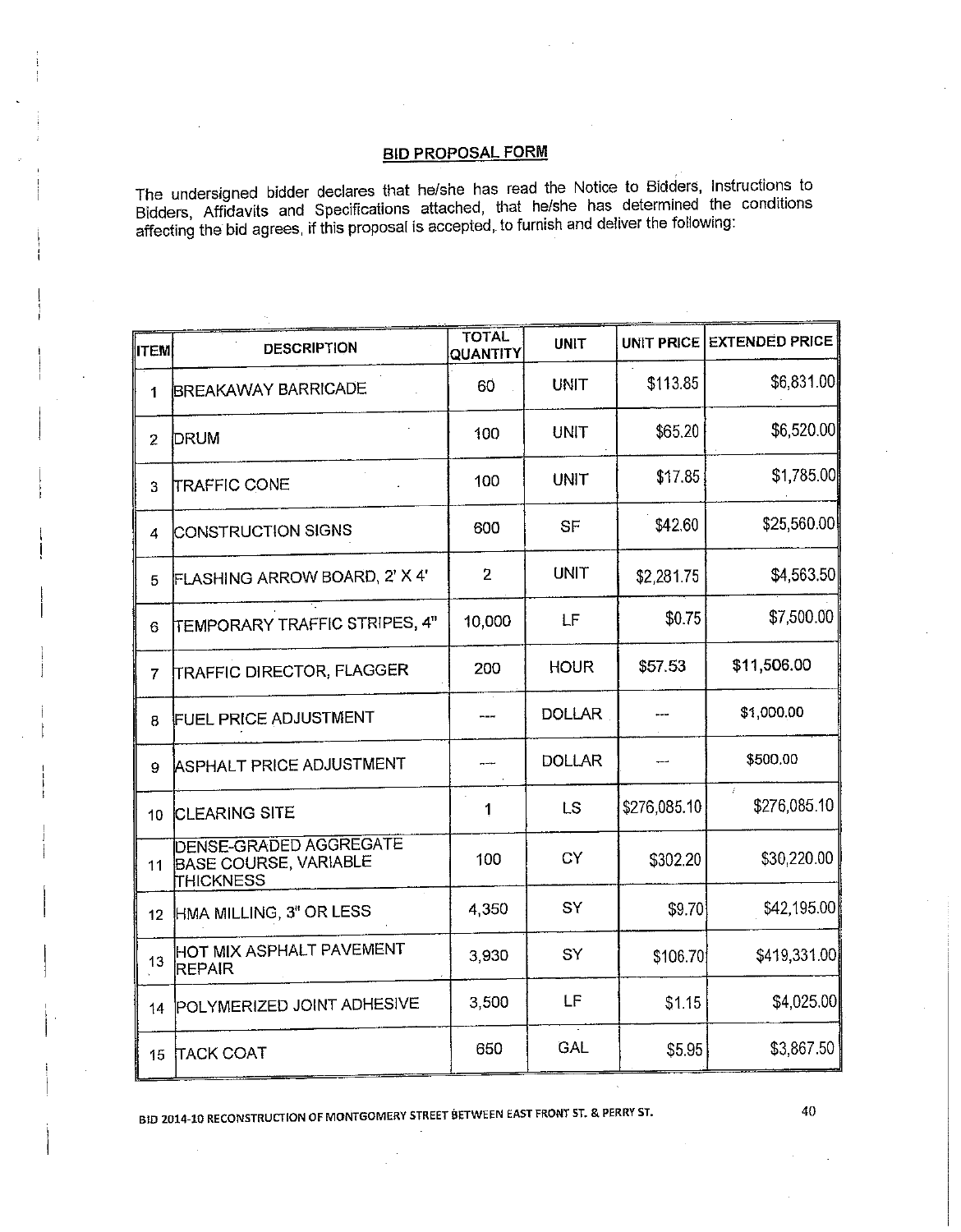The undersigned bidder declares that he/she has read the Notice to Bidders, Instructions to Bidders, Affidavits and Specifications attached, that he/she has determined the conditions affecting the bid agrees, if this propo

| ITEM            | <b>DESCRIPTION</b>                                                                | <b>TOTAL</b><br>QUANTITY | <b>UNIT</b>   |              | UNIT PRICE EXTENDED PRICE |
|-----------------|-----------------------------------------------------------------------------------|--------------------------|---------------|--------------|---------------------------|
| 1               | <b>BREAKAWAY BARRICADE</b>                                                        | 60                       | <b>UNIT</b>   | \$113.85     | \$6,831.00                |
| $\overline{2}$  | DRUM                                                                              | 100                      | UNIT          | \$65.20      | \$6,520.00                |
| 3               | <b>TRAFFIC CONE</b>                                                               | 100                      | <b>UNIT</b>   | \$17.85      | \$1,785.00                |
| 4               | CONSTRUCTION SIGNS                                                                | 600                      | SF            | \$42.60      | \$25,560.00               |
| 5               | FLASHING ARROW BOARD, 2' X 4'                                                     | $\overline{2}$           | <b>UNIT</b>   | \$2,281.75   | \$4,563.50                |
| 6               | TEMPORARY TRAFFIC STRIPES, 4"                                                     | 10,000                   | LF            | \$0.75       | \$7,500.00                |
| 7               | <b>TRAFFIC DIRECTOR, FLAGGER</b>                                                  | 200                      | <b>HOUR</b>   | \$57.53      | \$11,506.00               |
| 8               | <b>FUEL PRICE ADJUSTMENT</b>                                                      |                          | <b>DOLLAR</b> |              | \$1,000.00                |
| 9               | <b>ASPHALT PRICE ADJUSTMENT</b>                                                   |                          | <b>DOLLAR</b> |              | \$500.00                  |
| 10 <sub>1</sub> | <b>CLEARING SITE</b>                                                              | 1                        | LS            | \$276,085.10 | $\hat{I}$<br>\$276,085.10 |
| 11              | <b>DENSE-GRADED AGGREGATE</b><br><b>BASE COURSE, VARIABLE</b><br><b>THICKNESS</b> | 100                      | CY            | \$302.20     | \$30,220.00               |
| 12 <sub>2</sub> | HMA MILLING, 3" OR LESS                                                           | 4,350                    | SY            | \$9.70       | \$42,195.00               |
| 13              | HOT MIX ASPHALT PAVEMENT<br><b>REPAIR</b>                                         | 3,930                    | SÝ            | \$106.70     | \$419,331.00              |
| 14              | POLYMERIZED JOINT ADHESIVE                                                        | 3,500                    | LF            | \$1.15       | \$4,025.00                |
| 15              | <b>TACK COAT</b>                                                                  | 650                      | GAL           | \$5.95       | \$3,867.50                |

BID 2014-10 RECONSTRUCTION OF MONTGOMERY STREET BETWEEN EAST FRONT ST. & PERRY ST.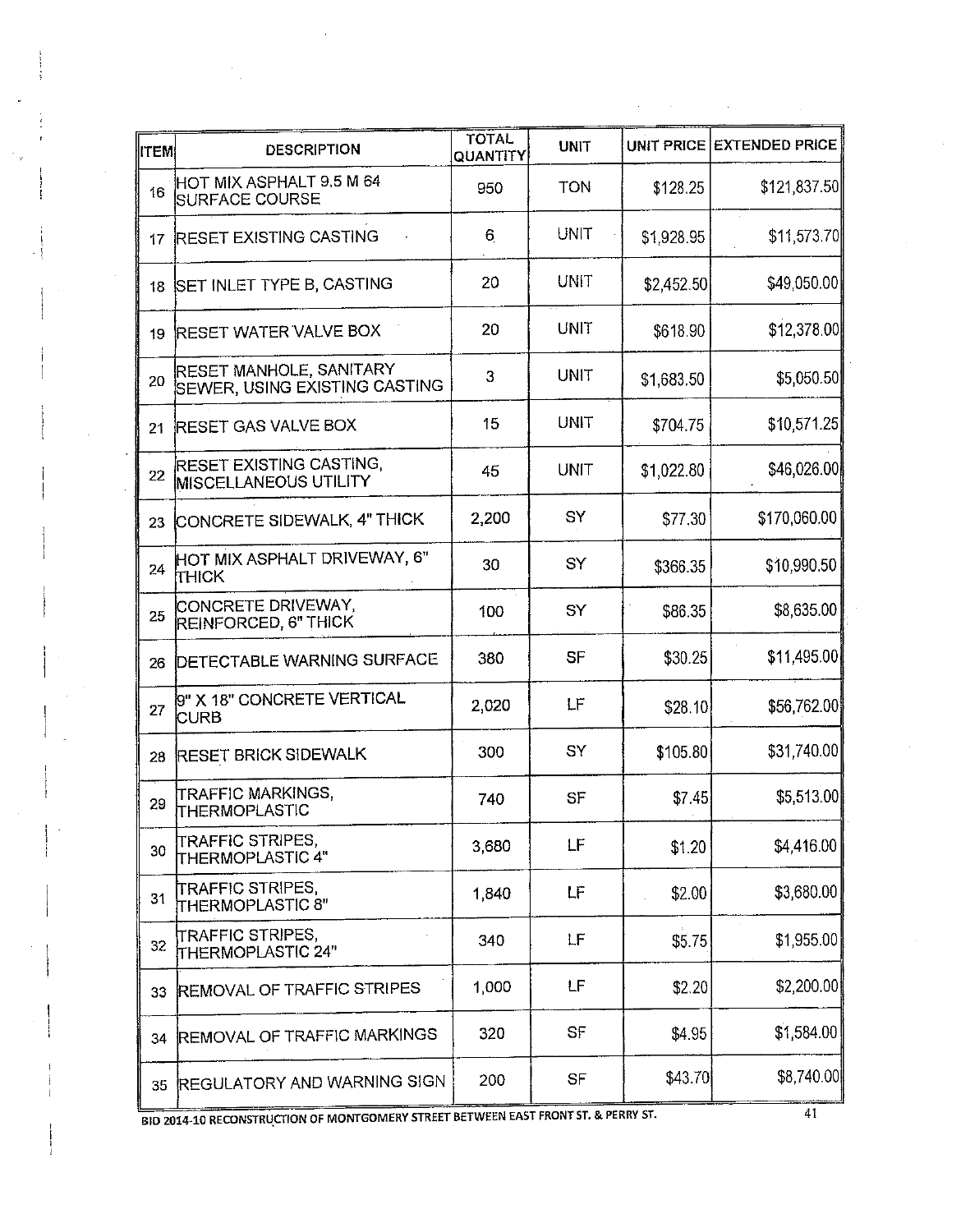| ∥rtem | <b>DESCRIPTION</b>                                              | <b>TOTAL</b><br>QUANTITY | <b>UNIT</b> |            | UNIT PRICE EXTENDED PRICE |
|-------|-----------------------------------------------------------------|--------------------------|-------------|------------|---------------------------|
| 16    | HOT MIX ASPHALT 9.5 M 64<br><b>SURFACE COURSE</b>               | 950                      | <b>TON</b>  | \$128.25   | \$121,837.50              |
| 17    | <b>RESET EXISTING CASTING</b>                                   | 6                        | UNIT        | \$1,928.95 | \$11,573.70               |
| 18    | SET INLET TYPE B, CASTING                                       | 20                       | UNIT        | \$2,452.50 | \$49,050.00               |
| 19    | <b>RESET WATER VALVE BOX</b>                                    | 20                       | <b>UNIT</b> | \$618.90   | \$12,378.00               |
| 20    | RESET MANHOLE, SANITARY<br><b>SEWER, USING EXISTING CASTING</b> | 3                        | UNIT        | \$1,683.50 | \$5,050.50                |
| 21    | <b>RESET GAS VALVE BOX</b>                                      | 15                       | UNIT        | \$704.75   | \$10,571.25               |
| 22    | <b>RESET EXISTING CASTING,</b><br><b>MISCELLANEOUS UTILITY</b>  | 45                       | UNIT        | \$1,022.80 | \$46,026.00               |
| 23    | CONCRETE SIDEWALK, 4" THICK                                     | 2,200                    | SY          | \$77.30    | \$170,060.00              |
| 24    | HOT MIX ASPHALT DRIVEWAY, 6"<br><b>Ітніск</b>                   | 30                       | SY          | \$366.35   | \$10,990.50               |
| 25    | CONCRETE DRIVEWAY,<br>REINFORCED, 6" THICK                      | 100                      | SY          | \$86.35    | \$8,635.00                |
| 26    | <b>DETECTABLE WARNING SURFACE</b>                               | 380                      | <b>SF</b>   | \$30.25    | \$11,495.00]              |
| 27    | 9" X 18" CONCRETE VERTICAL<br><b>CURB</b>                       | 2,020                    | LF          | \$28.10]   | \$56,762.00               |
| 28    | <b>RESET BRICK SIDEWALK</b>                                     | 300                      | SY          | \$105.80   | \$31,740.00               |
| 29    | TRAFFIC MARKINGS,<br>THERMOPLASTIC                              | 740                      | SF          | \$7.45]    | \$5,513.00                |
| 30    | TRAFFIC STRIPES,<br><b>THERMOPLASTIC 4"</b>                     | 3,680                    | LF          | \$1.20     | \$4,416.00                |
| 31    | ITRAFFIC STRIPES,<br>THERMOPLASTIC 8"                           | 1,840                    | LF          | \$2.00     | \$3,680.00                |
| 32    | TRAFFIC STRIPES,<br>THERMOPLASTIC 24"                           | 340                      | LF          | \$5.75     | \$1,955.00                |
| 33    | <b>REMOVAL OF TRAFFIC STRIPES</b>                               | 1,000                    | LF          | \$2.20     | \$2,200.00]               |
| 34    | <b>REMOVAL OF TRAFFIC MARKINGS</b>                              | 320                      | SF          | \$4.95     | \$1,584.00                |
| 35    | <b>REGULATORY AND WARNING SIGN</b>                              | 200                      | <b>SF</b>   | \$43.70    | \$8,740.00                |

 $41\,$